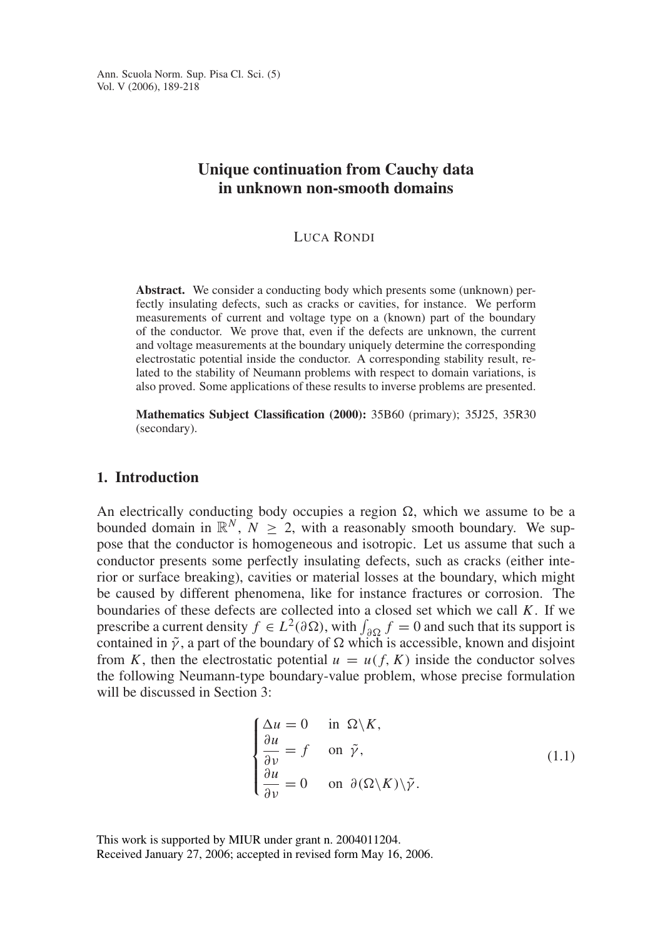# **Unique continuation from Cauchy data in unknown non-smooth domains**

### LUCA RONDI

**Abstract.** We consider a conducting body which presents some (unknown) perfectly insulating defects, such as cracks or cavities, for instance. We perform measurements of current and voltage type on a (known) part of the boundary of the conductor. We prove that, even if the defects are unknown, the current and voltage measurements at the boundary uniquely determine the corresponding electrostatic potential inside the conductor. A corresponding stability result, related to the stability of Neumann problems with respect to domain variations, is also proved. Some applications of these results to inverse problems are presented.

**Mathematics Subject Classification (2000):** 35B60 (primary); 35J25, 35R30 (secondary).

# **1. Introduction**

An electrically conducting body occupies a region  $\Omega$ , which we assume to be a bounded domain in  $\mathbb{R}^N$ ,  $N > 2$ , with a reasonably smooth boundary. We suppose that the conductor is homogeneous and isotropic. Let us assume that such a conductor presents some perfectly insulating defects, such as cracks (either interior or surface breaking), cavities or material losses at the boundary, which might be caused by different phenomena, like for instance fractures or corrosion. The boundaries of these defects are collected into a closed set which we call *K*. If we prescribe a current density  $f \in L^2(\partial \Omega)$ , with  $\int_{\partial \Omega} f = 0$  and such that its support is contained in  $\tilde{\gamma}$ , a part of the boundary of  $\Omega$  which is accessible, known and disjoint from *K*, then the electrostatic potential  $u = u(f, K)$  inside the conductor solves the following Neumann-type boundary-value problem, whose precise formulation will be discussed in Section 3:

$$
\begin{cases}\n\Delta u = 0 & \text{in } \Omega \setminus K, \\
\frac{\partial u}{\partial \nu} = f & \text{on } \tilde{\gamma}, \\
\frac{\partial u}{\partial \nu} = 0 & \text{on } \partial(\Omega \setminus K) \setminus \tilde{\gamma}.\n\end{cases}
$$
\n(1.1)

This work is supported by MIUR under grant n. 2004011204. Received January 27, 2006; accepted in revised form May 16, 2006.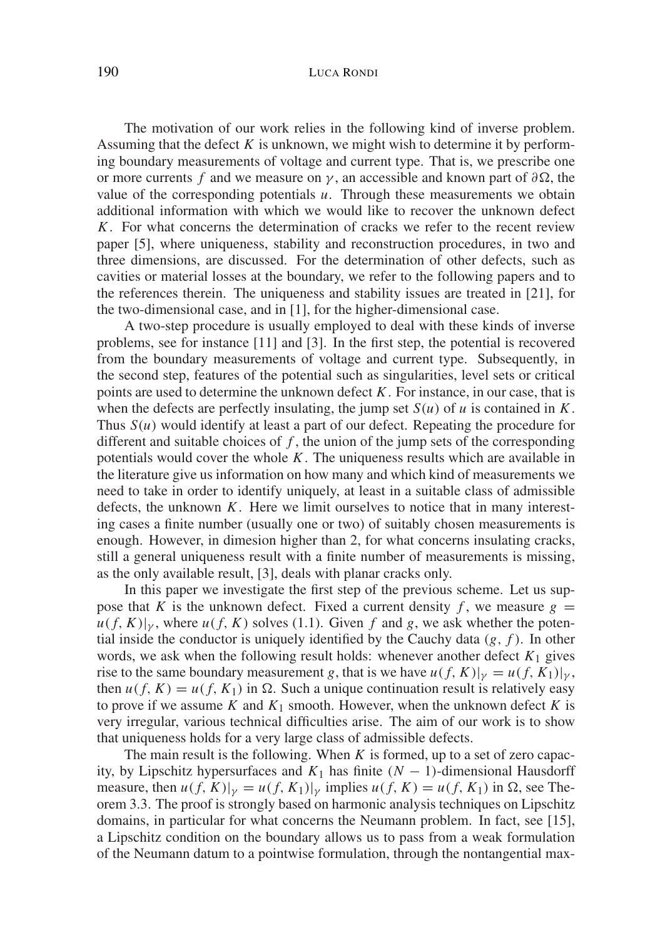## 190 LUCA RONDI

The motivation of our work relies in the following kind of inverse problem. Assuming that the defect *K* is unknown, we might wish to determine it by performing boundary measurements of voltage and current type. That is, we prescribe one or more currents *f* and we measure on  $\gamma$ , an accessible and known part of  $\partial \Omega$ , the value of the corresponding potentials *u*. Through these measurements we obtain additional information with which we would like to recover the unknown defect *K*. For what concerns the determination of cracks we refer to the recent review paper [5], where uniqueness, stability and reconstruction procedures, in two and three dimensions, are discussed. For the determination of other defects, such as cavities or material losses at the boundary, we refer to the following papers and to the references therein. The uniqueness and stability issues are treated in [21], for the two-dimensional case, and in [1], for the higher-dimensional case.

A two-step procedure is usually employed to deal with these kinds of inverse problems, see for instance [11] and [3]. In the first step, the potential is recovered from the boundary measurements of voltage and current type. Subsequently, in the second step, features of the potential such as singularities, level sets or critical points are used to determine the unknown defect *K*. For instance, in our case, that is when the defects are perfectly insulating, the jump set  $S(u)$  of *u* is contained in *K*. Thus  $S(u)$  would identify at least a part of our defect. Repeating the procedure for different and suitable choices of *f* , the union of the jump sets of the corresponding potentials would cover the whole *K*. The uniqueness results which are available in the literature give us information on how many and which kind of measurements we need to take in order to identify uniquely, at least in a suitable class of admissible defects, the unknown *K*. Here we limit ourselves to notice that in many interesting cases a finite number (usually one or two) of suitably chosen measurements is enough. However, in dimesion higher than 2, for what concerns insulating cracks, still a general uniqueness result with a finite number of measurements is missing, as the only available result, [3], deals with planar cracks only.

In this paper we investigate the first step of the previous scheme. Let us suppose that *K* is the unknown defect. Fixed a current density *f*, we measure  $g =$  $u(f, K)|_{\gamma}$ , where  $u(f, K)$  solves (1.1). Given f and g, we ask whether the potential inside the conductor is uniquely identified by the Cauchy data (*g*, *f* ). In other words, we ask when the following result holds: whenever another defect  $K_1$  gives rise to the same boundary measurement *g*, that is we have  $u(f, K)|_{\gamma} = u(f, K_1)|_{\gamma}$ , then  $u(f, K) = u(f, K_1)$  in  $\Omega$ . Such a unique continuation result is relatively easy to prove if we assume *K* and  $K_1$  smooth. However, when the unknown defect *K* is very irregular, various technical difficulties arise. The aim of our work is to show that uniqueness holds for a very large class of admissible defects.

The main result is the following. When *K* is formed, up to a set of zero capacity, by Lipschitz hypersurfaces and  $K_1$  has finite  $(N - 1)$ -dimensional Hausdorff measure, then  $u(f, K)|_{\gamma} = u(f, K_1)|_{\gamma}$  implies  $u(f, K) = u(f, K_1)$  in  $\Omega$ , see Theorem 3.3. The proof is strongly based on harmonic analysis techniques on Lipschitz domains, in particular for what concerns the Neumann problem. In fact, see [15], a Lipschitz condition on the boundary allows us to pass from a weak formulation of the Neumann datum to a pointwise formulation, through the nontangential max-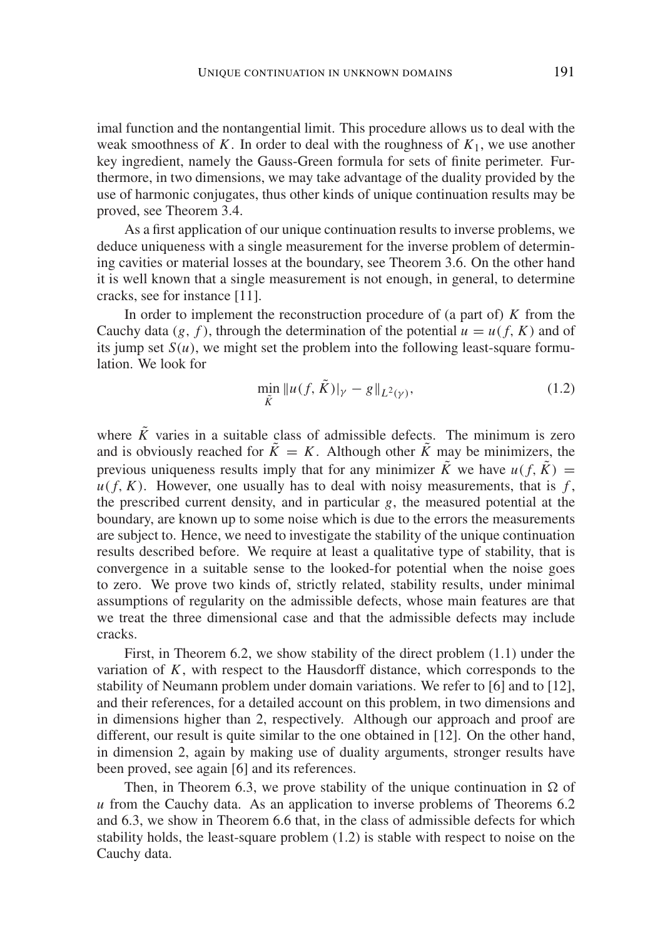imal function and the nontangential limit. This procedure allows us to deal with the weak smoothness of *K*. In order to deal with the roughness of *K*1, we use another key ingredient, namely the Gauss-Green formula for sets of finite perimeter. Furthermore, in two dimensions, we may take advantage of the duality provided by the use of harmonic conjugates, thus other kinds of unique continuation results may be proved, see Theorem 3.4.

As a first application of our unique continuation results to inverse problems, we deduce uniqueness with a single measurement for the inverse problem of determining cavities or material losses at the boundary, see Theorem 3.6. On the other hand it is well known that a single measurement is not enough, in general, to determine cracks, see for instance [11].

In order to implement the reconstruction procedure of (a part of) *K* from the Cauchy data (*g*, *f*), through the determination of the potential  $u = u(f, K)$  and of its jump set  $S(u)$ , we might set the problem into the following least-square formulation. We look for

$$
\min_{\tilde{K}} \|u(f, \tilde{K})\|_{\gamma} - g\|_{L^{2}(\gamma)},
$$
\n(1.2)

where  $\tilde{K}$  varies in a suitable class of admissible defects. The minimum is zero and is obviously reached for  $\tilde{K} = K$ . Although other  $\tilde{K}$  may be minimizers, the previous uniqueness results imply that for any minimizer  $\tilde{K}$  we have  $u(f, \tilde{K}) =$  $u(f, K)$ . However, one usually has to deal with noisy measurements, that is  $f$ , the prescribed current density, and in particular *g*, the measured potential at the boundary, are known up to some noise which is due to the errors the measurements are subject to. Hence, we need to investigate the stability of the unique continuation results described before. We require at least a qualitative type of stability, that is convergence in a suitable sense to the looked-for potential when the noise goes to zero. We prove two kinds of, strictly related, stability results, under minimal assumptions of regularity on the admissible defects, whose main features are that we treat the three dimensional case and that the admissible defects may include cracks.

First, in Theorem 6.2, we show stability of the direct problem (1.1) under the variation of  $K$ , with respect to the Hausdorff distance, which corresponds to the stability of Neumann problem under domain variations. We refer to [6] and to [12], and their references, for a detailed account on this problem, in two dimensions and in dimensions higher than 2, respectively. Although our approach and proof are different, our result is quite similar to the one obtained in [12]. On the other hand, in dimension 2, again by making use of duality arguments, stronger results have been proved, see again [6] and its references.

Then, in Theorem 6.3, we prove stability of the unique continuation in  $\Omega$  of *u* from the Cauchy data. As an application to inverse problems of Theorems 6.2 and 6.3, we show in Theorem 6.6 that, in the class of admissible defects for which stability holds, the least-square problem (1.2) is stable with respect to noise on the Cauchy data.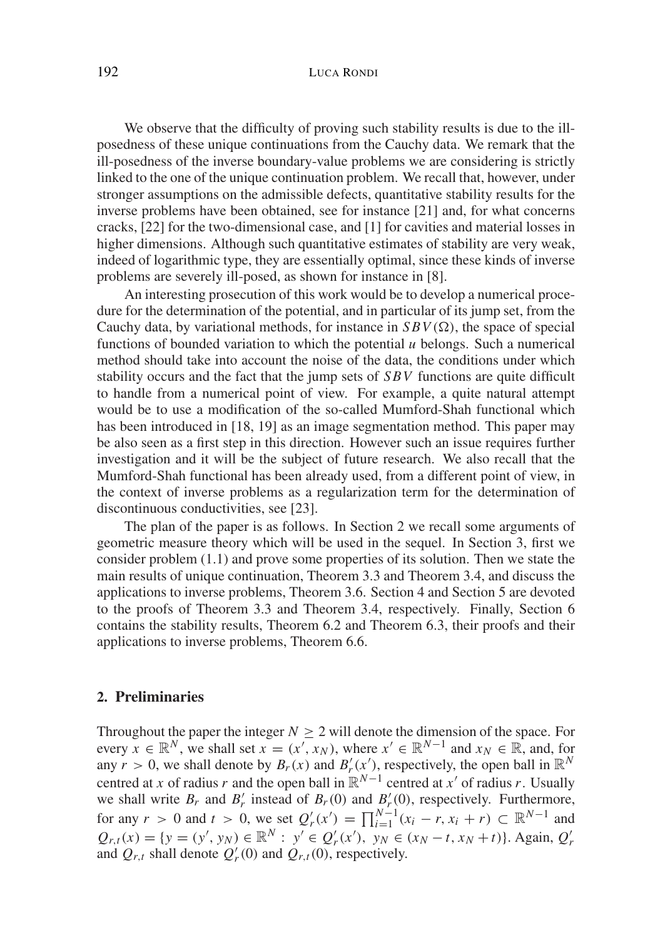## 192 LUCA RONDI

We observe that the difficulty of proving such stability results is due to the illposedness of these unique continuations from the Cauchy data. We remark that the ill-posedness of the inverse boundary-value problems we are considering is strictly linked to the one of the unique continuation problem. We recall that, however, under stronger assumptions on the admissible defects, quantitative stability results for the inverse problems have been obtained, see for instance [21] and, for what concerns cracks, [22] for the two-dimensional case, and [1] for cavities and material losses in higher dimensions. Although such quantitative estimates of stability are very weak, indeed of logarithmic type, they are essentially optimal, since these kinds of inverse problems are severely ill-posed, as shown for instance in [8].

An interesting prosecution of this work would be to develop a numerical procedure for the determination of the potential, and in particular of its jump set, from the Cauchy data, by variational methods, for instance in  $SBV(\Omega)$ , the space of special functions of bounded variation to which the potential *u* belongs. Such a numerical method should take into account the noise of the data, the conditions under which stability occurs and the fact that the jump sets of *SBV* functions are quite difficult to handle from a numerical point of view. For example, a quite natural attempt would be to use a modification of the so-called Mumford-Shah functional which has been introduced in [18, 19] as an image segmentation method. This paper may be also seen as a first step in this direction. However such an issue requires further investigation and it will be the subject of future research. We also recall that the Mumford-Shah functional has been already used, from a different point of view, in the context of inverse problems as a regularization term for the determination of discontinuous conductivities, see [23].

The plan of the paper is as follows. In Section 2 we recall some arguments of geometric measure theory which will be used in the sequel. In Section 3, first we consider problem (1.1) and prove some properties of its solution. Then we state the main results of unique continuation, Theorem 3.3 and Theorem 3.4, and discuss the applications to inverse problems, Theorem 3.6. Section 4 and Section 5 are devoted to the proofs of Theorem 3.3 and Theorem 3.4, respectively. Finally, Section 6 contains the stability results, Theorem 6.2 and Theorem 6.3, their proofs and their applications to inverse problems, Theorem 6.6.

### **2. Preliminaries**

Throughout the paper the integer  $N \geq 2$  will denote the dimension of the space. For every  $\bar{x} \in \mathbb{R}^N$ , we shall set  $\bar{x} = (x', x_N)$ , where  $x' \in \mathbb{R}^{N-1}$  and  $x_N \in \mathbb{R}$ , and, for any  $r > 0$ , we shall denote by  $B_r(x)$  and  $B'_r(x')$ , respectively, the open ball in  $\mathbb{R}^N$ centred at *x* of radius *r* and the open ball in  $\mathbb{R}^{N-1}$  centred at *x'* of radius *r*. Usually we shall write  $B_r$  and  $B'_r$  instead of  $B_r(0)$  and  $B'_r(0)$ , respectively. Furthermore, for any  $r > 0$  and  $t > 0$ , we set  $Q'_r(x') = \prod_{i=1}^{N-1} (x_i - r, x_i + r) \subset \mathbb{R}^{N-1}$  and  $Q_{r,t}(x) = \{y = (y', y_N) \in \mathbb{R}^N : y' \in Q'_r(x'), y_N \in (x_N - t, x_N + t)\}.$  Again,  $Q'_r$ and  $Q_{r,t}$  shall denote  $Q'_r(0)$  and  $Q_{r,t}(0)$ , respectively.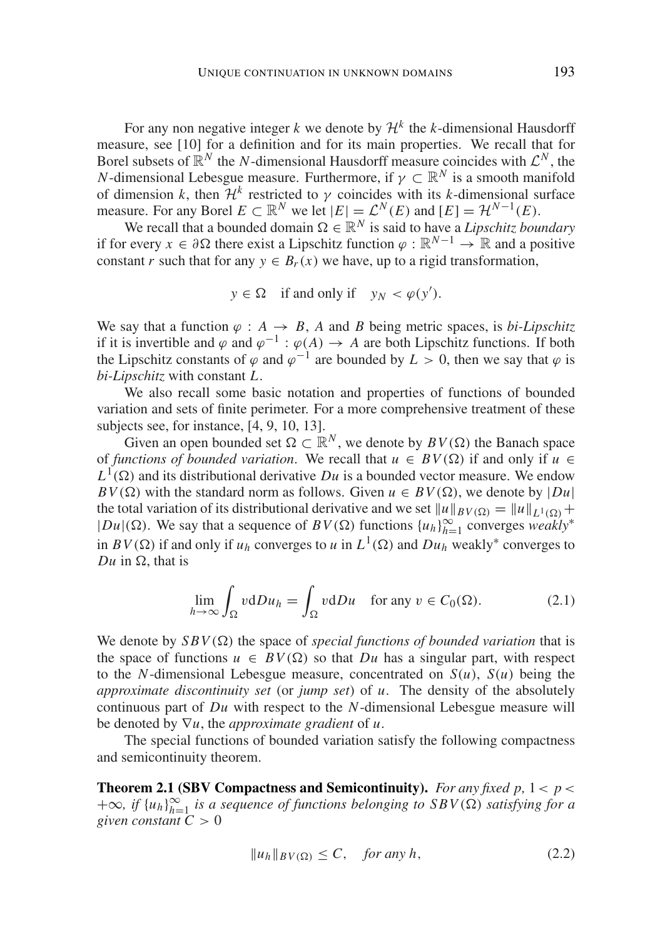For any non negative integer k we denote by  $\mathcal{H}^k$  the k-dimensional Hausdorff measure, see [10] for a definition and for its main properties. We recall that for Borel subsets of  $\mathbb{R}^N$  the *N*-dimensional Hausdorff measure coincides with  $\mathcal{L}^N$ , the *N*-dimensional Lebesgue measure. Furthermore, if  $\gamma \subset \mathbb{R}^N$  is a smooth manifold of dimension *k*, then  $\mathcal{H}^k$  restricted to  $\gamma$  coincides with its *k*-dimensional surface measure. For any Borel  $E \subset \mathbb{R}^N$  we let  $|E| = \mathcal{L}^N(E)$  and  $[E] = \mathcal{H}^{N-1}(E)$ .

We recall that a bounded domain  $\Omega \in \mathbb{R}^N$  is said to have a *Lipschitz boundary* if for every *x* ∈  $\partial \Omega$  there exist a Lipschitz function  $\varphi : \mathbb{R}^{N-1} \to \mathbb{R}$  and a positive constant *r* such that for any  $y \in B_r(x)$  we have, up to a rigid transformation,

$$
y \in \Omega
$$
 if and only if  $y_N < \varphi(y')$ .

We say that a function  $\varphi : A \to B$ , *A* and *B* being metric spaces, is *bi-Lipschitz* if it is invertible and  $\varphi$  and  $\varphi^{-1}$  :  $\varphi(A) \to A$  are both Lipschitz functions. If both the Lipschitz constants of  $\varphi$  and  $\varphi^{-1}$  are bounded by  $L > 0$ , then we say that  $\varphi$  is *bi-Lipschitz* with constant *L*.

We also recall some basic notation and properties of functions of bounded variation and sets of finite perimeter. For a more comprehensive treatment of these subjects see, for instance, [4, 9, 10, 13].

Given an open bounded set  $\Omega \subset \mathbb{R}^N$ , we denote by  $BV(\Omega)$  the Banach space of *functions of bounded variation*. We recall that  $u \in BV(\Omega)$  if and only if  $u \in$  $L^1(\Omega)$  and its distributional derivative *Du* is a bounded vector measure. We endow  $BV(\Omega)$  with the standard norm as follows. Given  $u \in BV(\Omega)$ , we denote by  $|Du|$ the total variation of its distributional derivative and we set  $||u||_{BV(\Omega)} = ||u||_{L^1(\Omega)} +$  $|Du|$  (Ω). We say that a sequence of *BV*(Ω) functions  ${u_h}_{h=1}^\infty$  converges *weakly*<sup>∗</sup> in  $BV(\Omega)$  if and only if  $u_h$  converges to  $u$  in  $L^1(\Omega)$  and  $Du_h$  weakly<sup>\*</sup> converges to  $Du$  in  $\Omega$ , that is

$$
\lim_{h \to \infty} \int_{\Omega} v \, dDu_h = \int_{\Omega} v \, dDu \quad \text{for any } v \in C_0(\Omega). \tag{2.1}
$$

We denote by  $SBV(\Omega)$  the space of *special functions of bounded variation* that is the space of functions  $u \in BV(\Omega)$  so that *Du* has a singular part, with respect to the *N*-dimensional Lebesgue measure, concentrated on  $S(u)$ ,  $S(u)$  being the *approximate discontinuity set* (or *jump set*) of *u*. The density of the absolutely continuous part of *Du* with respect to the *N*-dimensional Lebesgue measure will be denoted by ∇*u*, the *approximate gradient* of *u*.

The special functions of bounded variation satisfy the following compactness and semicontinuity theorem.

**Theorem 2.1 (SBV Compactness and Semicontinuity).** *For any fixed p,*  $1 < p <$  $+∞$ *, if* {*u<sub>h</sub>*} $_{h=1}^∞$  *is a sequence of functions belonging to SBV(* $Ω$ *) satisfying for a given constant*  $C > 0$ 

$$
||u_h||_{BV(\Omega)} \le C, \quad \text{for any } h,
$$
\n(2.2)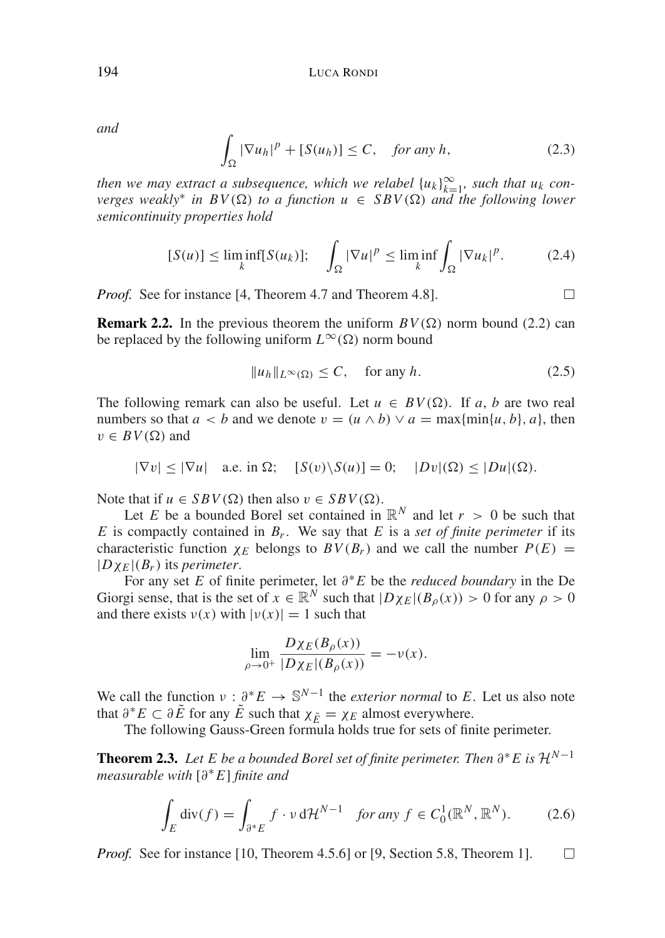*and*

$$
\int_{\Omega} |\nabla u_h|^p + [S(u_h)] \le C, \quad \text{for any } h,
$$
\n(2.3)

*then we may extract a subsequence, which we relabel*  ${u_k}_{k=1}^{\infty}$ , *such that*  $u_k$  *converges weakly<sup>\*</sup> in BV(* $\Omega$ *) to a function*  $u \in SBV(\Omega)$  *and the following lower semicontinuity properties hold*

$$
[S(u)] \le \liminf_{k} [S(u_k)]; \quad \int_{\Omega} |\nabla u|^p \le \liminf_{k} \int_{\Omega} |\nabla u_k|^p. \tag{2.4}
$$

*Proof.* See for instance [4, Theorem 4.7 and Theorem 4.8].

**Remark 2.2.** In the previous theorem the uniform  $BV(\Omega)$  norm bound (2.2) can be replaced by the following uniform  $L^{\infty}(\Omega)$  norm bound

$$
||u_h||_{L^{\infty}(\Omega)} \le C, \quad \text{for any } h. \tag{2.5}
$$

 $\Box$ 

The following remark can also be useful. Let  $u \in BV(\Omega)$ . If *a*, *b* are two real numbers so that  $a < b$  and we denote  $v = (u \wedge b) \vee a = \max\{\min\{u, b\}, a\}$ , then  $v \in BV(\Omega)$  and

$$
|\nabla v| \le |\nabla u| \quad \text{a.e. in } \Omega; \quad [S(v) \setminus S(u)] = 0; \quad |Dv|(\Omega) \le |Du|(\Omega).
$$

Note that if  $u \in SBV(\Omega)$  then also  $v \in SBV(\Omega)$ .

Let *E* be a bounded Borel set contained in  $\mathbb{R}^N$  and let  $r > 0$  be such that *E* is compactly contained in  $B_r$ . We say that *E* is a *set of finite perimeter* if its characteristic function  $\chi_E$  belongs to  $BV(B_r)$  and we call the number  $P(E)$  =  $|D\chi_F|(B_r)$  its *perimeter*.

For any set *E* of finite perimeter, let ∂∗*E* be the *reduced boundary* in the De Giorgi sense, that is the set of  $x \in \mathbb{R}^N$  such that  $|D\chi_E|(B_0(x)) > 0$  for any  $\rho > 0$ and there exists  $v(x)$  with  $|v(x)| = 1$  such that

$$
\lim_{\rho \to 0^+} \frac{D\chi_E(B_\rho(x))}{|D\chi_E|(B_\rho(x))} = -\nu(x).
$$

We call the function  $v : \partial^* E \to \mathbb{S}^{N-1}$  the *exterior normal* to *E*. Let us also note that  $\partial^* E \subset \partial \tilde{E}$  for any  $\tilde{E}$  such that  $\chi_{\tilde{E}} = \chi_E$  almost everywhere.

The following Gauss-Green formula holds true for sets of finite perimeter.

**Theorem 2.3.** *Let E be a bounded Borel set of finite perimeter. Then*  $\partial^* E$  *is*  $\mathcal{H}^{N-1}$ *measurable with* [∂∗*E*] *finite and*

$$
\int_{E} \operatorname{div}(f) = \int_{\partial^* E} f \cdot \nu \, d\mathcal{H}^{N-1} \quad \text{for any } f \in C_0^1(\mathbb{R}^N, \mathbb{R}^N). \tag{2.6}
$$

*Proof.* See for instance [10, Theorem 4.5.6] or [9, Section 5.8, Theorem 1].  $\Box$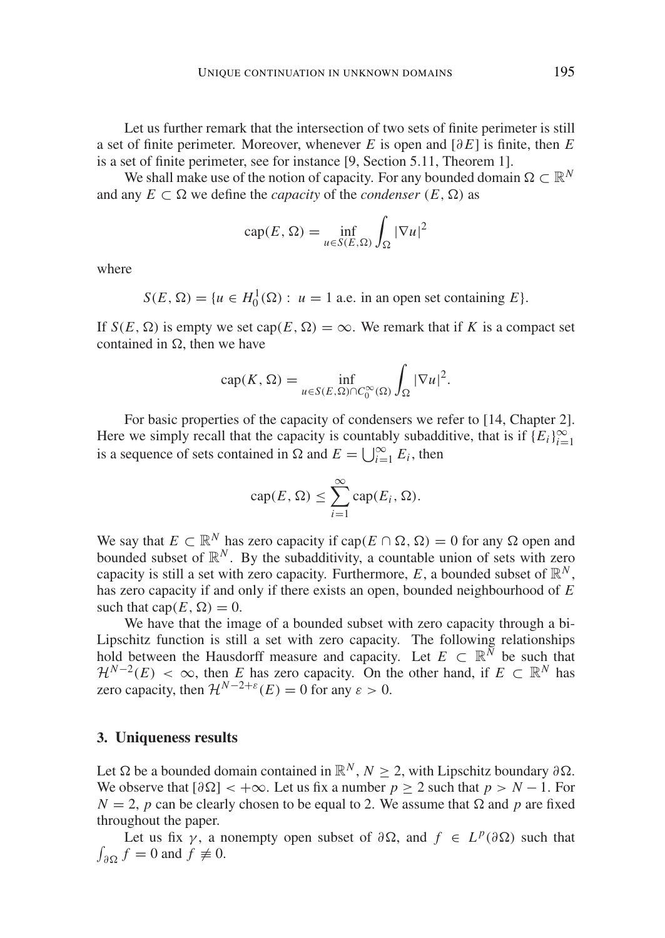Let us further remark that the intersection of two sets of finite perimeter is still a set of finite perimeter. Moreover, whenever *E* is open and  $\lceil \partial E \rceil$  is finite, then *E* is a set of finite perimeter, see for instance [9, Section 5.11, Theorem 1].

We shall make use of the notion of capacity. For any bounded domain  $\Omega \subset \mathbb{R}^N$ and any  $E \subset \Omega$  we define the *capacity* of the *condenser*  $(E, \Omega)$  as

$$
cap(E, \Omega) = \inf_{u \in S(E, \Omega)} \int_{\Omega} |\nabla u|^2
$$

where

 $S(E, \Omega) = \{u \in H_0^1(\Omega) : u = 1 \text{ a.e. in an open set containing } E\}.$ 

If  $S(E, \Omega)$  is empty we set cap( $E, \Omega$ ) =  $\infty$ . We remark that if *K* is a compact set contained in  $\Omega$ , then we have

$$
\operatorname{cap}(K,\Omega)=\inf_{u\in S(E,\Omega)\cap C_0^{\infty}(\Omega)}\int_{\Omega}|\nabla u|^2.
$$

For basic properties of the capacity of condensers we refer to [14, Chapter 2]. Here we simply recall that the capacity is countably subadditive, that is if  $(E_i)_{i=1}^{\infty}$ is a sequence of sets contained in  $\Omega$  and  $E = \bigcup_{i=1}^{\infty} E_i$ , then

$$
\operatorname{cap}(E, \Omega) \le \sum_{i=1}^{\infty} \operatorname{cap}(E_i, \Omega).
$$

We say that  $E \subset \mathbb{R}^N$  has zero capacity if  $cap(E \cap \Omega, \Omega) = 0$  for any  $\Omega$  open and bounded subset of  $\mathbb{R}^N$ . By the subadditivity, a countable union of sets with zero capacity is still a set with zero capacity. Furthermore, *E*, a bounded subset of  $\mathbb{R}^N$ , has zero capacity if and only if there exists an open, bounded neighbourhood of *E* such that cap( $E, \Omega$ ) = 0.

We have that the image of a bounded subset with zero capacity through a bi-Lipschitz function is still a set with zero capacity. The following relationships hold between the Hausdorff measure and capacity. Let  $E \subset \mathbb{R}^{\bar{N}}$  be such that  $\mathcal{H}^{N-2}(E) < \infty$ , then *E* has zero capacity. On the other hand, if  $E \subset \mathbb{R}^N$  has zero capacity, then  $\mathcal{H}^{N-2+\varepsilon}(E) = 0$  for any  $\varepsilon > 0$ .

# **3. Uniqueness results**

Let  $\Omega$  be a bounded domain contained in  $\mathbb{R}^N$ ,  $N > 2$ , with Lipschitz boundary ∂ $\Omega$ . We observe that  $\lceil \partial \Omega \rceil < +\infty$ . Let us fix a number  $p > 2$  such that  $p > N - 1$ . For  $N = 2$ , *p* can be clearly chosen to be equal to 2. We assume that  $\Omega$  and *p* are fixed throughout the paper.

Let us fix  $\gamma$ , a nonempty open subset of  $\partial \Omega$ , and  $f \in L^p(\partial \Omega)$  such that  $\int_{\partial\Omega} f = 0$  and  $f \neq 0$ .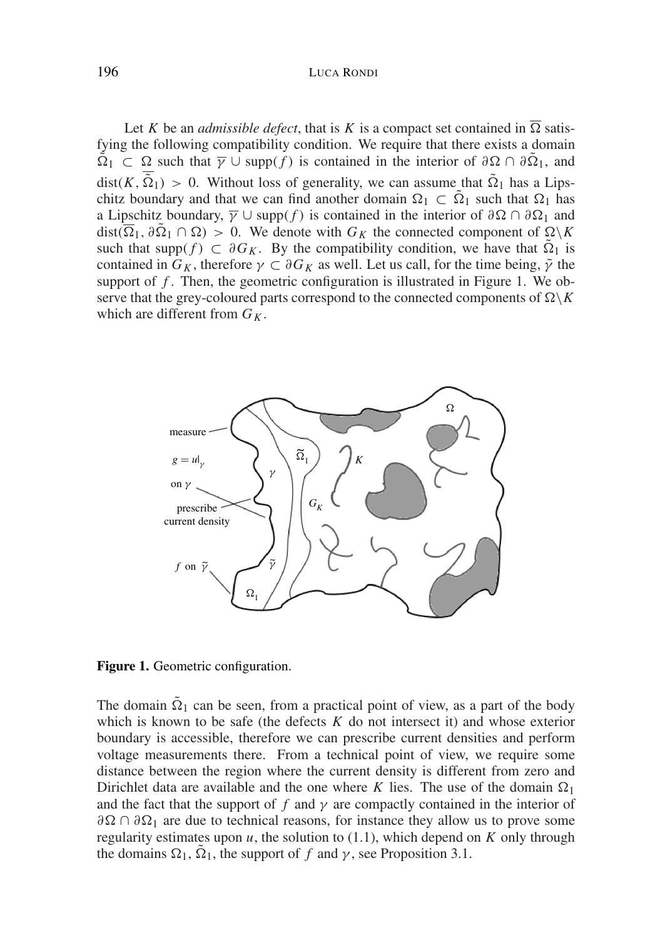196 LUCA RONDI

Let *K* be an *admissible defect*, that is *K* is a compact set contained in  $\overline{\Omega}$  satisfying the following compatibility condition. We require that there exists a domain  $\tilde{\Omega}_1 \subset \Omega$  such that  $\overline{\gamma} \cup \text{supp}(f)$  is contained in the interior of  $\partial \Omega \cap \partial \overline{\Omega}_1$ , and  $dist(K, \overline{\tilde{\Omega}}_1) > 0$ . Without loss of generality, we can assume that  $\tilde{\Omega}_1$  has a Lipschitz boundary and that we can find another domain  $\Omega_1 \subset \tilde{\Omega}_1$  such that  $\Omega_1$  has a Lipschitz boundary,  $\overline{\gamma} \cup \text{supp}(f)$  is contained in the interior of  $\partial \Omega \cap \partial \Omega_1$  and  $dist(\overline{\Omega}_1, \partial \overline{\Omega}_1 \cap \Omega) > 0$ . We denote with  $G_K$  the connected component of  $\Omega \backslash K$ such that supp( $f$ )  $\subset \partial G_K$ . By the compatibility condition, we have that  $\tilde{\Omega}_1$  is contained in  $G_K$ , therefore  $\gamma \subset \partial G_K$  as well. Let us call, for the time being,  $\tilde{\gamma}$  the support of  $f$ . Then, the geometric configuration is illustrated in Figure 1. We observe that the grey-coloured parts correspond to the connected components of  $\Omega \backslash K$ which are different from  $G_K$ .



Figure 1. Geometric configuration.

The domain  $\tilde{\Omega}_1$  can be seen, from a practical point of view, as a part of the body which is known to be safe (the defects *K* do not intersect it) and whose exterior boundary is accessible, therefore we can prescribe current densities and perform voltage measurements there. From a technical point of view, we require some distance between the region where the current density is different from zero and Dirichlet data are available and the one where *K* lies. The use of the domain  $\Omega_1$ and the fact that the support of  $f$  and  $\gamma$  are compactly contained in the interior of  $\partial\Omega \cap \partial\Omega_1$  are due to technical reasons, for instance they allow us to prove some regularity estimates upon  $u$ , the solution to  $(1.1)$ , which depend on  $K$  only through the domains  $\Omega_1$ ,  $\Omega_1$ , the support of *f* and *γ*, see Proposition 3.1.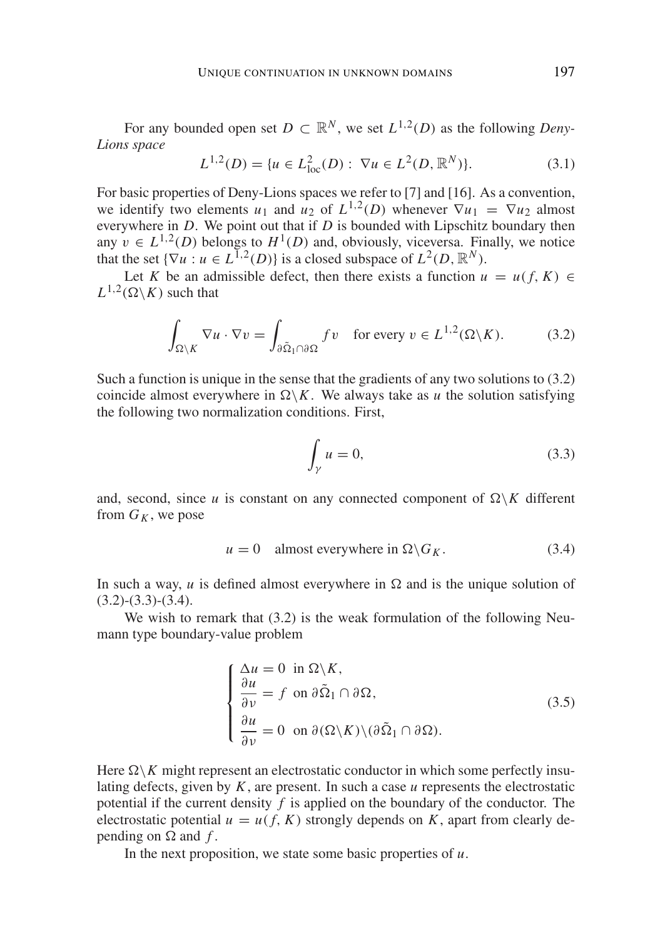For any bounded open set  $D \subset \mathbb{R}^N$ , we set  $L^{1,2}(D)$  as the following *Deny*-*Lions space*

$$
L^{1,2}(D) = \{ u \in L^2_{loc}(D) : \nabla u \in L^2(D, \mathbb{R}^N) \}. \tag{3.1}
$$

For basic properties of Deny-Lions spaces we refer to [7] and [16]. As a convention, we identify two elements  $u_1$  and  $u_2$  of  $L^{1,2}(D)$  whenever  $\nabla u_1 = \nabla u_2$  almost everywhere in *D*. We point out that if *D* is bounded with Lipschitz boundary then any  $v \in L^{1,2}(D)$  belongs to  $H^1(D)$  and, obviously, viceversa. Finally, we notice that the set  $\{\nabla u : u \in L^{1,2}(D)\}\$  is a closed subspace of  $L^2(D, \mathbb{R}^N)$ .

Let *K* be an admissible defect, then there exists a function  $u = u(f, K) \in$  $L^{1,2}(\Omega \backslash K)$  such that

$$
\int_{\Omega \setminus K} \nabla u \cdot \nabla v = \int_{\partial \tilde{\Omega}_1 \cap \partial \Omega} f v \quad \text{for every } v \in L^{1,2}(\Omega \setminus K). \tag{3.2}
$$

Such a function is unique in the sense that the gradients of any two solutions to (3.2) coincide almost everywhere in  $\Omega \backslash K$ . We always take as *u* the solution satisfying the following two normalization conditions. First,

$$
\int_{\gamma} u = 0,\tag{3.3}
$$

and, second, since *u* is constant on any connected component of  $\Omega \backslash K$  different from  $G_K$ , we pose

$$
u = 0 \quad \text{almost everywhere in } \Omega \backslash G_K. \tag{3.4}
$$

In such a way,  $u$  is defined almost everywhere in  $\Omega$  and is the unique solution of  $(3.2)$ - $(3.3)$ - $(3.4)$ .

We wish to remark that  $(3.2)$  is the weak formulation of the following Neumann type boundary-value problem

$$
\begin{cases}\n\Delta u = 0 \text{ in } \Omega \backslash K, \\
\frac{\partial u}{\partial \nu} = f \text{ on } \partial \tilde{\Omega}_1 \cap \partial \Omega, \\
\frac{\partial u}{\partial \nu} = 0 \text{ on } \partial(\Omega \backslash K) \backslash (\partial \tilde{\Omega}_1 \cap \partial \Omega).\n\end{cases}
$$
\n(3.5)

Here  $\Omega \backslash K$  might represent an electrostatic conductor in which some perfectly insulating defects, given by *K*, are present. In such a case *u* represents the electrostatic potential if the current density *f* is applied on the boundary of the conductor. The electrostatic potential  $u = u(f, K)$  strongly depends on *K*, apart from clearly depending on  $\Omega$  and  $f$ .

In the next proposition, we state some basic properties of *u*.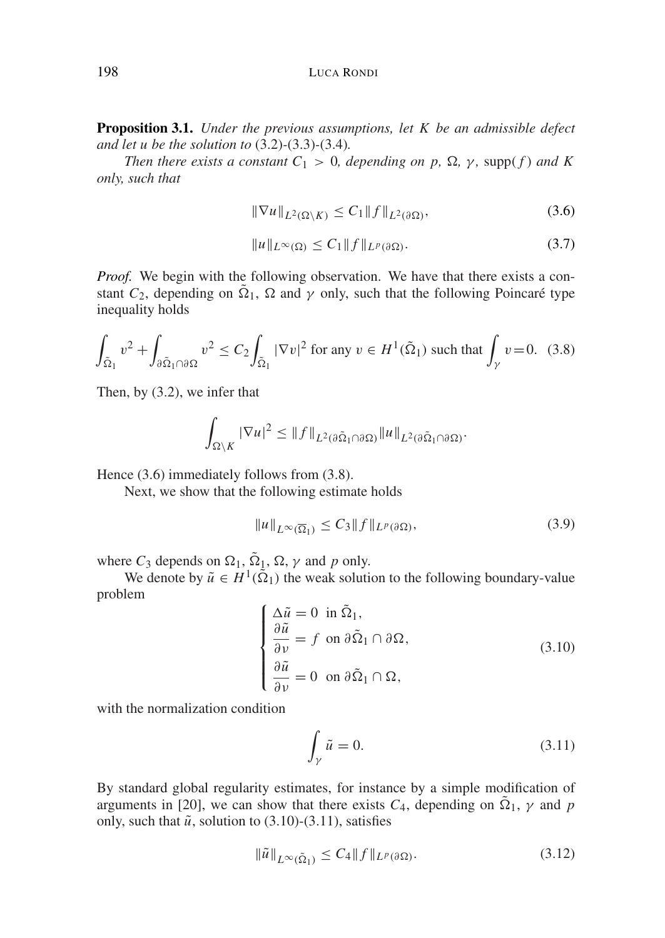**Proposition 3.1.** *Under the previous assumptions, let K be an admissible defect and let u be the solution to* (3.2)*-*(3.3)*-*(3.4)*.*

*Then there exists a constant*  $C_1 > 0$ , *depending on p,*  $\Omega$ *, y, supp(f) and K only, such that*

$$
\|\nabla u\|_{L^2(\Omega\backslash K)} \le C_1 \|f\|_{L^2(\partial\Omega)},\tag{3.6}
$$

$$
||u||_{L^{\infty}(\Omega)} \leq C_1 ||f||_{L^p(\partial \Omega)}.
$$
\n(3.7)

*Proof.* We begin with the following observation. We have that there exists a constant  $C_2$ , depending on  $\tilde{\Omega}_1$ ,  $\Omega$  and  $\gamma$  only, such that the following Poincaré type inequality holds

$$
\int_{\tilde{\Omega}_1} v^2 + \int_{\partial \tilde{\Omega}_1 \cap \partial \Omega} v^2 \le C_2 \int_{\tilde{\Omega}_1} |\nabla v|^2 \text{ for any } v \in H^1(\tilde{\Omega}_1) \text{ such that } \int_{\gamma} v = 0. \tag{3.8}
$$

Then, by (3.2), we infer that

$$
\int_{\Omega\setminus K}|\nabla u|^2\leq \|f\|_{L^2(\partial\tilde{\Omega}_1\cap\partial\Omega)}\|u\|_{L^2(\partial\tilde{\Omega}_1\cap\partial\Omega)}.
$$

Hence (3.6) immediately follows from (3.8).

Next, we show that the following estimate holds

$$
||u||_{L^{\infty}(\overline{\Omega}_1)} \leq C_3 ||f||_{L^p(\partial \Omega)},
$$
\n(3.9)

where  $C_3$  depends on  $\Omega_1$ ,  $\tilde{\Omega}_1$ ,  $\Omega$ ,  $\gamma$  and  $p$  only.

We denote by  $\tilde{u} \in H^1(\tilde{\Omega}_1)$  the weak solution to the following boundary-value problem

$$
\begin{cases}\n\Delta \tilde{u} = 0 \text{ in } \tilde{\Omega}_1, \\
\frac{\partial \tilde{u}}{\partial \nu} = f \text{ on } \partial \tilde{\Omega}_1 \cap \partial \Omega, \\
\frac{\partial \tilde{u}}{\partial \nu} = 0 \text{ on } \partial \tilde{\Omega}_1 \cap \Omega,\n\end{cases}
$$
\n(3.10)

with the normalization condition

$$
\int_{\gamma} \tilde{u} = 0. \tag{3.11}
$$

By standard global regularity estimates, for instance by a simple modification of arguments in [20], we can show that there exists  $C_4$ , depending on  $\tilde{\Omega}_1$ ,  $\gamma$  and  $p$ only, such that  $\tilde{u}$ , solution to (3.10)-(3.11), satisfies

$$
\|\tilde{u}\|_{L^{\infty}(\tilde{\Omega}_1)} \le C_4 \|f\|_{L^p(\partial \Omega)}.
$$
\n(3.12)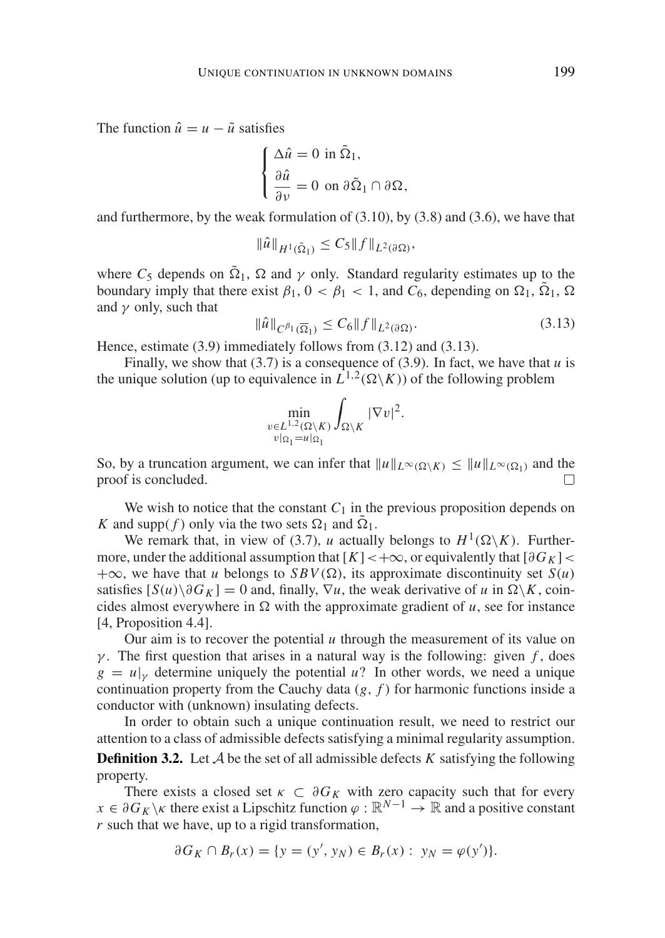The function  $\hat{u} = u - \tilde{u}$  satisfies

$$
\begin{cases} \Delta \hat{u} = 0 \text{ in } \tilde{\Omega}_1, \\ \frac{\partial \hat{u}}{\partial v} = 0 \text{ on } \partial \tilde{\Omega}_1 \cap \partial \Omega, \end{cases}
$$

and furthermore, by the weak formulation of (3.10), by (3.8) and (3.6), we have that

$$
\|\hat{u}\|_{H^1(\tilde{\Omega}_1)} \le C_5 \|f\|_{L^2(\partial \Omega)},
$$

where  $C_5$  depends on  $\tilde{\Omega}_1$ ,  $\Omega$  and  $\gamma$  only. Standard regularity estimates up to the boundary imply that there exist  $\beta_1$ ,  $0 < \beta_1 < 1$ , and  $C_6$ , depending on  $\Omega_1$ ,  $\tilde{\Omega}_1$ ,  $\Omega$ and  $\gamma$  only, such that

$$
\|\hat{u}\|_{C^{\beta_1}(\overline{\Omega}_1)} \le C_6 \|f\|_{L^2(\partial \Omega)}.
$$
\n(3.13)

Hence, estimate (3.9) immediately follows from (3.12) and (3.13).

Finally, we show that  $(3.7)$  is a consequence of  $(3.9)$ . In fact, we have that *u* is the unique solution (up to equivalence in  $L^{1,2}(\Omega \backslash K)$ ) of the following problem

$$
\min_{\substack{v \in L^{1,2}(\Omega \setminus K) \\ v|_{\Omega_1} = u|_{\Omega_1}}} \int_{\Omega \setminus K} |\nabla v|^2.
$$

So, by a truncation argument, we can infer that  $||u||_{L^{\infty}(\Omega \setminus K)} \le ||u||_{L^{\infty}(\Omega_1)}$  and the proof is concluded proof is concluded.

We wish to notice that the constant  $C_1$  in the previous proposition depends on *K* and supp(*f*) only via the two sets  $\Omega_1$  and  $\tilde{\Omega}_1$ .

We remark that, in view of (3.7), *u* actually belongs to  $H^1(\Omega \backslash K)$ . Furthermore, under the additional assumption that  $[K] < +\infty$ , or equivalently that  $\lceil \partial G_K \rceil$  $+\infty$ , we have that *u* belongs to *SBV*( $\Omega$ ), its approximate discontinuity set *S*(*u*) satisfies  $[S(u)\setminus \partial G_K] = 0$  and, finally,  $\nabla u$ , the weak derivative of *u* in  $\Omega \setminus K$ , coincides almost everywhere in  $\Omega$  with the approximate gradient of *u*, see for instance [4, Proposition 4.4].

Our aim is to recover the potential  $u$  through the measurement of its value on γ. The first question that arises in a natural way is the following: given  $f$ , does  $g = u|_{v}$  determine uniquely the potential *u*? In other words, we need a unique continuation property from the Cauchy data (*g*, *f* ) for harmonic functions inside a conductor with (unknown) insulating defects.

In order to obtain such a unique continuation result, we need to restrict our attention to a class of admissible defects satisfying a minimal regularity assumption.

**Definition 3.2.** Let  $A$  be the set of all admissible defects  $K$  satisfying the following property.

There exists a closed set  $\kappa \subset \partial G_K$  with zero capacity such that for every  $x \in \partial G_K \backslash \kappa$  there exist a Lipschitz function  $\varphi : \mathbb{R}^{N-1} \to \mathbb{R}$  and a positive constant *r* such that we have, up to a rigid transformation,

$$
\partial G_K \cap B_r(x) = \{ y = (y', y_N) \in B_r(x) : y_N = \varphi(y') \}.
$$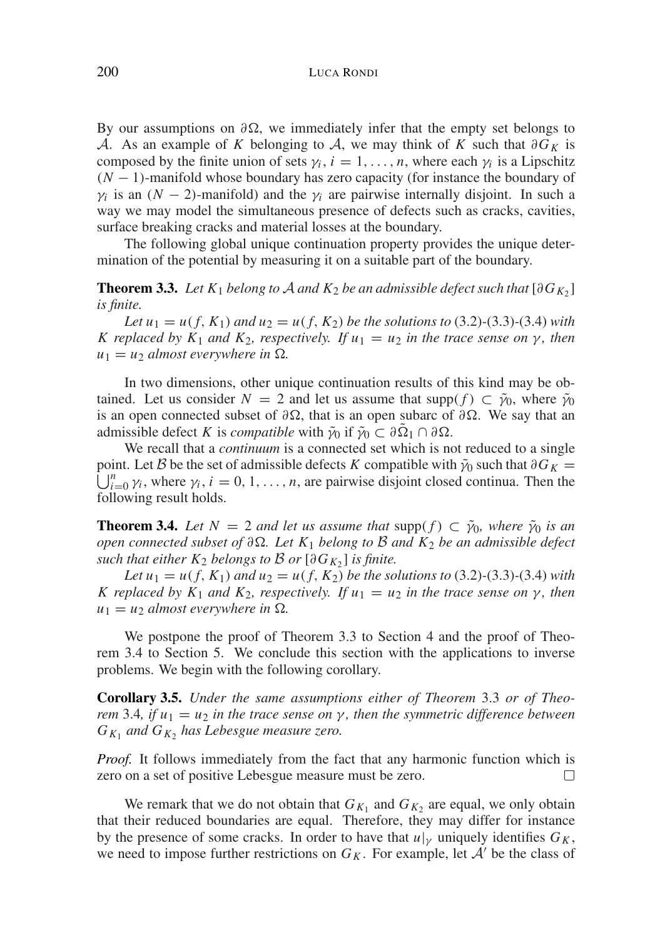By our assumptions on  $\partial\Omega$ , we immediately infer that the empty set belongs to A. As an example of *K* belonging to A, we may think of *K* such that  $\partial G_K$  is composed by the finite union of sets  $\gamma_i$ ,  $i = 1, \ldots, n$ , where each  $\gamma_i$  is a Lipschitz (*N* − 1)-manifold whose boundary has zero capacity (for instance the boundary of  $\gamma_i$  is an  $(N - 2)$ -manifold) and the  $\gamma_i$  are pairwise internally disjoint. In such a way we may model the simultaneous presence of defects such as cracks, cavities, surface breaking cracks and material losses at the boundary.

The following global unique continuation property provides the unique determination of the potential by measuring it on a suitable part of the boundary.

**Theorem 3.3.** *Let*  $K_1$  *belong to*  $A$  *and*  $K_2$  *be an admissible defect such that*  $[\partial G_{K_2}]$ *is finite.*

*Let*  $u_1 = u(f, K_1)$  *and*  $u_2 = u(f, K_2)$  *be the solutions to* (3.2)-(3.3)-(3.4) *with K* replaced by  $K_1$  *and*  $K_2$ *, respectively. If*  $u_1 = u_2$  *in the trace sense on*  $\gamma$ *, then*  $u_1 = u_2$  *almost everywhere in*  $\Omega$ .

In two dimensions, other unique continuation results of this kind may be obtained. Let us consider  $N = 2$  and let us assume that supp $(f) \subset \tilde{\gamma}_0$ , where  $\tilde{\gamma}_0$ is an open connected subset of  $\partial\Omega$ , that is an open subarc of  $\partial\Omega$ . We say that an admissible defect *K* is *compatible* with  $\tilde{\gamma}_0$  if  $\tilde{\gamma}_0 \subset \partial \Omega_1 \cap \partial \Omega$ .

We recall that a *continuum* is a connected set which is not reduced to a single  $\bigcup_{i=0}^{n} \gamma_i$ , where  $\gamma_i$ ,  $i=0,1,\ldots,n$ , are pairwise disjoint closed continua. Then the point. Let *B* be the set of admissible defects *K* compatible with  $\tilde{\gamma}_0$  such that  $\partial G_K =$ following result holds.

**Theorem 3.4.** Let  $N = 2$  and let us assume that supp(f)  $\subset \tilde{\gamma}_0$ , where  $\tilde{\gamma}_0$  is an *open connected subset of* ∂*. Let K*<sup>1</sup> *belong to* B *and K*<sup>2</sup> *be an admissible defect such that either*  $K_2$  *belongs to*  $\beta$  *or*  $[\partial G_K]$  *is finite.* 

*Let*  $u_1 = u(f, K_1)$  *and*  $u_2 = u(f, K_2)$  *be the solutions to* (3.2)-(3.3)-(3.4) *with K* replaced by  $K_1$  *and*  $K_2$ *, respectively. If*  $u_1 = u_2$  *in the trace sense on*  $\gamma$ *, then*  $u_1 = u_2$  *almost everywhere in*  $\Omega$ .

We postpone the proof of Theorem 3.3 to Section 4 and the proof of Theorem 3.4 to Section 5. We conclude this section with the applications to inverse problems. We begin with the following corollary.

**Corollary 3.5.** *Under the same assumptions either of Theorem* 3.3 *or of Theorem* 3.4*, if*  $u_1 = u_2$  *in the trace sense on*  $\gamma$ *, then the symmetric difference between*  $G_{K_1}$  *and*  $G_{K_2}$  *has Lebesgue measure zero.* 

*Proof.* It follows immediately from the fact that any harmonic function which is zero on a set of positive Lebesgue measure must be zero. П

We remark that we do not obtain that  $G_{K_1}$  and  $G_{K_2}$  are equal, we only obtain that their reduced boundaries are equal. Therefore, they may differ for instance by the presence of some cracks. In order to have that  $u|_V$  uniquely identifies  $G_K$ , we need to impose further restrictions on  $G_K$ . For example, let  $A'$  be the class of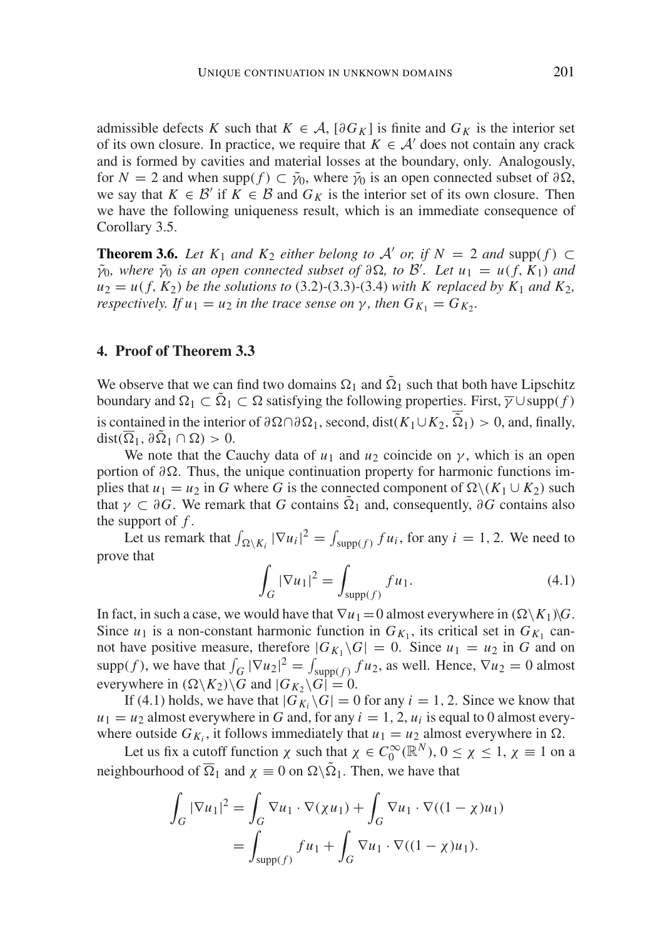admissible defects *K* such that  $K \in \mathcal{A}$ ,  $\lceil \partial G_K \rceil$  is finite and  $G_K$  is the interior set of its own closure. In practice, we require that  $K \in \mathcal{A}'$  does not contain any crack and is formed by cavities and material losses at the boundary, only. Analogously, for *N* = 2 and when supp( $f$ ) ⊂  $\tilde{\gamma}_0$ , where  $\tilde{\gamma}_0$  is an open connected subset of  $\partial\Omega$ , we say that  $K \in \mathcal{B}'$  if  $K \in \mathcal{B}$  and  $G_K$  is the interior set of its own closure. Then we have the following uniqueness result, which is an immediate consequence of Corollary 3.5.

**Theorem 3.6.** *Let*  $K_1$  *and*  $K_2$  *either belong to*  $A'$  *or, if*  $N = 2$  *and* supp(*f*) ⊂  $\tilde{\gamma}_0$ *, where*  $\tilde{\gamma}_0$  *is an open connected subset of*  $\partial \Omega$ *, to*  $\tilde{\beta}'$ *. Let*  $u_1 = u(f, K_1)$  *and*  $u_2 = u(f, K_2)$  *be the solutions to* (3.2)-(3.3)-(3.4) *with K replaced by K<sub>1</sub> and K<sub>2</sub>, respectively. If*  $u_1 = u_2$  *in the trace sense on*  $\gamma$ *, then*  $G_{K_1} = G_{K_2}$ *.* 

## **4. Proof of Theorem 3.3**

We observe that we can find two domains  $\Omega_1$  and  $\tilde{\Omega}_1$  such that both have Lipschitz boundary and  $\Omega_1 \subset \overline{\Omega}_1 \subset \Omega$  satisfying the following properties. First,  $\overline{\gamma} \cup \text{supp}(f)$ is contained in the interior of  $\partial \Omega \cap \partial \Omega_1$ , second, dist(*K*<sub>1</sub>∪*K*<sub>2</sub>,  $\tilde{\Omega}_1$ ) > 0, and, finally,  $dist(\overline{\Omega}_1, \partial \Omega_1 \cap \Omega) > 0.$ 

We note that the Cauchy data of  $u_1$  and  $u_2$  coincide on  $\gamma$ , which is an open portion of  $\partial \Omega$ . Thus, the unique continuation property for harmonic functions implies that  $u_1 = u_2$  in *G* where *G* is the connected component of  $\Omega \setminus (K_1 \cup K_2)$  such that  $\gamma \subset \partial G$ . We remark that *G* contains  $\tilde{\Omega}_1$  and, consequently,  $\partial G$  contains also the support of *f* .

Let us remark that  $\int_{\Omega \setminus K_i} |\nabla u_i|^2 = \int_{\text{supp}(f)} f u_i$ , for any  $i = 1, 2$ . We need to prove that

$$
\int_{G} |\nabla u_{1}|^{2} = \int_{\text{supp}(f)} f u_{1}.
$$
\n(4.1)

In fact, in such a case, we would have that  $\nabla u_1 = 0$  almost everywhere in  $(\Omega \setminus K_1)\setminus G$ . Since  $u_1$  is a non-constant harmonic function in  $G_{K_1}$ , its critical set in  $G_{K_1}$  cannot have positive measure, therefore  $|G_{K_1} \backslash G| = 0$ . Since  $u_1 = u_2$  in *G* and on supp(f), we have that  $\int_G |\nabla u_2|^2 = \int_{\text{supp}(f)} fu_2$ , as well. Hence,  $\nabla u_2 = 0$  almost everywhere in  $(\Omega \backslash K_2)\backslash G$  and  $|G_{K_2}\backslash G| = 0$ .

If (4.1) holds, we have that  $|G_K \backslash G| = 0$  for any  $i = 1, 2$ . Since we know that  $u_1 = u_2$  almost everywhere in *G* and, for any  $i = 1, 2, u_i$  is equal to 0 almost everywhere outside  $G_{K_i}$ , it follows immediately that  $u_1 = u_2$  almost everywhere in  $\Omega$ .

Let us fix a cutoff function  $\chi$  such that  $\chi \in C_0^{\infty}(\mathbb{R}^N)$ ,  $0 \le \chi \le 1$ ,  $\chi \equiv 1$  on a neighbourhood of  $\overline{\Omega}_1$  and  $\chi \equiv 0$  on  $\Omega \setminus \tilde{\Omega}_1$ . Then, we have that

$$
\int_G |\nabla u_1|^2 = \int_G \nabla u_1 \cdot \nabla(\chi u_1) + \int_G \nabla u_1 \cdot \nabla((1 - \chi)u_1)
$$
  
= 
$$
\int_{\text{supp}(f)} fu_1 + \int_G \nabla u_1 \cdot \nabla((1 - \chi)u_1).
$$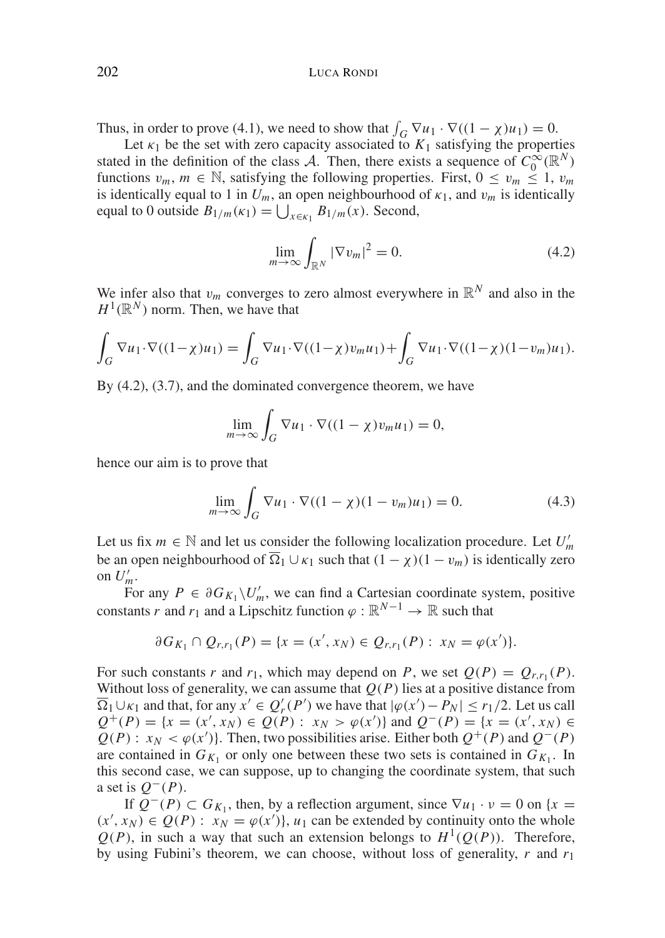Thus, in order to prove (4.1), we need to show that  $\int_G \nabla u_1 \cdot \nabla ((1 - \chi)u_1) = 0$ .

Let  $\kappa_1$  be the set with zero capacity associated to  $K_1$  satisfying the properties stated in the definition of the class A. Then, there exists a sequence of  $C_0^{\infty}(\mathbb{R}^N)$ functions  $v_m$ ,  $m \in \mathbb{N}$ , satisfying the following properties. First,  $0 \le v_m \le 1$ ,  $v_m$ is identically equal to 1 in  $U_m$ , an open neighbourhood of  $\kappa_1$ , and  $v_m$  is identically equal to 0 outside  $B_{1/m}(\kappa_1) = \bigcup_{x \in \kappa_1} B_{1/m}(x)$ . Second,

$$
\lim_{m \to \infty} \int_{\mathbb{R}^N} |\nabla v_m|^2 = 0. \tag{4.2}
$$

We infer also that  $v_m$  converges to zero almost everywhere in  $\mathbb{R}^N$  and also in the  $H^1(\mathbb{R}^N)$  norm. Then, we have that

$$
\int_G \nabla u_1 \cdot \nabla ((1-\chi)u_1) = \int_G \nabla u_1 \cdot \nabla ((1-\chi)v_m u_1) + \int_G \nabla u_1 \cdot \nabla ((1-\chi)(1-v_m)u_1).
$$

By  $(4.2)$ ,  $(3.7)$ , and the dominated convergence theorem, we have

$$
\lim_{m \to \infty} \int_G \nabla u_1 \cdot \nabla ((1 - \chi) v_m u_1) = 0,
$$

hence our aim is to prove that

$$
\lim_{m \to \infty} \int_{G} \nabla u_1 \cdot \nabla ((1 - \chi)(1 - v_m)u_1) = 0.
$$
 (4.3)

Let us fix  $m \in \mathbb{N}$  and let us consider the following localization procedure. Let  $U'_m$ be an open neighbourhood of  $\overline{\Omega}_1 \cup \kappa_1$  such that  $(1 - \chi)(1 - v_m)$  is identically zero on  $U'_m$ .

For any  $P \in \partial G_{K_1} \backslash U'_m$ , we can find a Cartesian coordinate system, positive constants *r* and *r*<sub>1</sub> and a Lipschitz function  $\varphi : \mathbb{R}^{N-1} \to \mathbb{R}$  such that

$$
\partial G_{K_1} \cap Q_{r,r_1}(P) = \{x = (x', x_N) \in Q_{r,r_1}(P) : x_N = \varphi(x')\}.
$$

For such constants *r* and  $r_1$ , which may depend on *P*, we set  $Q(P) = Q_{r,r_1}(P)$ . Without loss of generality, we can assume that  $Q(P)$  lies at a positive distance from  $\overline{\Omega}_1 \cup \kappa_1$  and that, for any  $x' \in Q'_r(P')$  we have that  $|\varphi(x') - P_N| \le r_1/2$ . Let us call  $Q^+(P) = \{x = (x', x_N) \in Q(P) : x_N > \varphi(x')\}$  and  $Q^-(P) = \{x = (x', x_N) \in Q(P)\}$  $Q(P)$ : *x<sub>N</sub>* <  $\varphi$ (*x*')}. Then, two possibilities arise. Either both  $Q^+(P)$  and  $Q^-(P)$ are contained in  $G_{K_1}$  or only one between these two sets is contained in  $G_{K_1}$ . In this second case, we can suppose, up to changing the coordinate system, that such a set is  $Q^{-}(P)$ .

If  $Q^{-}(P) \subset G_{K_1}$ , then, by a reflection argument, since  $\nabla u_1 \cdot v = 0$  on {*x* =  $(x', x_N) \in Q(P)$ :  $x_N = \varphi(x')$ ,  $u_1$  can be extended by continuity onto the whole  $Q(P)$ , in such a way that such an extension belongs to  $H^1(Q(P))$ . Therefore, by using Fubini's theorem, we can choose, without loss of generality, *r* and *r*<sup>1</sup>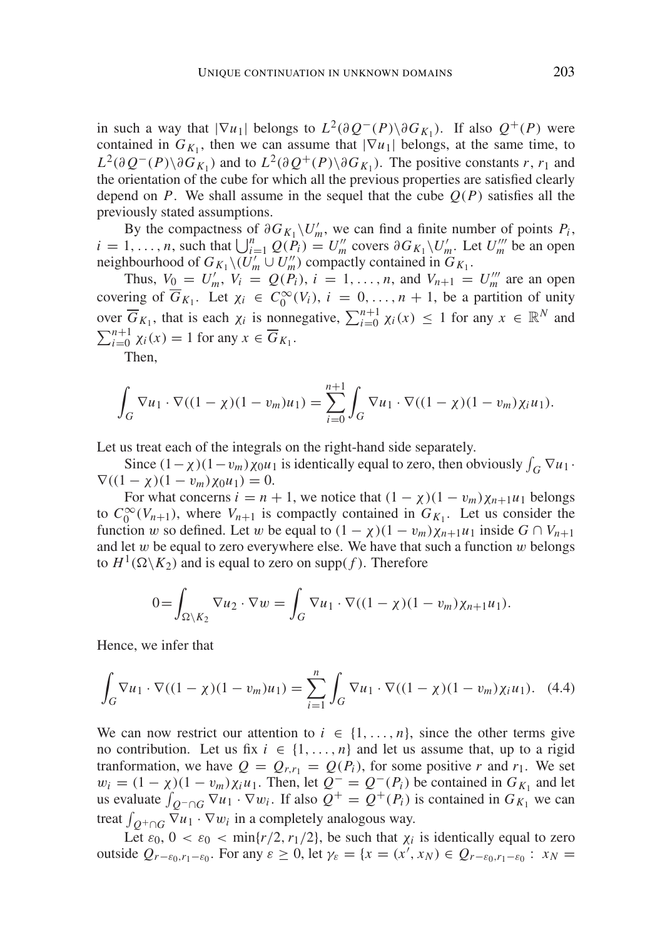in such a way that  $|\nabla u_1|$  belongs to  $L^2(\partial Q^-(P)\setminus \partial G_{K_1})$ . If also  $Q^+(P)$  were contained in  $G_{K_1}$ , then we can assume that  $|\nabla u_1|$  belongs, at the same time, to *L*<sup>2</sup>(∂ *Q*<sup>−</sup>(*P*)\∂*G<sub>K<sub>1</sub>*</sub>) and to *L*<sup>2</sup>(∂ *Q*<sup>+</sup>(*P*)\∂*G<sub>K<sub>1</sub></sub>*). The positive constants *r*, *r*<sub>1</sub> and the orientation of the cube for which all the previous properties are satisfied clearly depend on *P*. We shall assume in the sequel that the cube  $O(P)$  satisfies all the previously stated assumptions.

By the compactness of  $\partial G_{K_1} \backslash U'_m$ , we can find a finite number of points *P<sub>i</sub>*,  $i = 1, \ldots, n$ , such that  $\bigcup_{i=1}^{n} Q(P_i) = U_m^{\prime\prime}$  covers  $\partial G_{K_1} \setminus U_m^{\prime\prime}$ . Let  $U_m^{\prime\prime\prime}$  be an open neighbourhood of  $G_{K_1} \setminus (U_m' \cup U_m'')$  compactly contained in  $G_{K_1}$ .

Thus,  $V_0 = U'_m$ ,  $V_i = Q(P_i)$ ,  $i = 1, ..., n$ , and  $V_{n+1} = U''_m$  are an open covering of  $\overline{G}_{K_1}$ . Let  $\chi_i \in C_0^{\infty}(V_i)$ ,  $i = 0, ..., n + 1$ , be a partition of unity over  $\overline{G}_{K_1}$ , that is each  $\chi_i$  is nonnegative,  $\sum_{i=0}^{n+1} \chi_i(x) \leq 1$  for any  $x \in \mathbb{R}^N$  and  $\sum_{i=0}^{n+1} \chi_i(x) = 1$  for any  $x \in \overline{G}_{K_1}$ .

Then,

$$
\int_G \nabla u_1 \cdot \nabla ((1 - \chi)(1 - v_m)u_1) = \sum_{i=0}^{n+1} \int_G \nabla u_1 \cdot \nabla ((1 - \chi)(1 - v_m) \chi_i u_1).
$$

Let us treat each of the integrals on the right-hand side separately.

Since  $(1 - \chi)(1 - v_m)\chi_0 u_1$  is identically equal to zero, then obviously  $\int_G \nabla u_1$ .  $\nabla((1 - \chi)(1 - v_m)\chi_0u_1) = 0.$ 

For what concerns  $i = n + 1$ , we notice that  $(1 - \chi)(1 - v_m)\chi_{n+1}u_1$  belongs to  $C_0^{\infty}(V_{n+1})$ , where  $V_{n+1}$  is compactly contained in  $G_{K_1}$ . Let us consider the function w so defined. Let w be equal to  $(1 - \chi)(1 - v_m)\chi_{n+1}u_1$  inside  $G \cap V_{n+1}$ and let  $w$  be equal to zero everywhere else. We have that such a function  $w$  belongs to  $H^1(\Omega \backslash K_2)$  and is equal to zero on supp(f). Therefore

$$
0 = \int_{\Omega \setminus K_2} \nabla u_2 \cdot \nabla w = \int_G \nabla u_1 \cdot \nabla ((1 - \chi)(1 - v_m)\chi_{n+1}u_1).
$$

Hence, we infer that

$$
\int_{G} \nabla u_{1} \cdot \nabla ((1 - \chi)(1 - v_{m})u_{1}) = \sum_{i=1}^{n} \int_{G} \nabla u_{1} \cdot \nabla ((1 - \chi)(1 - v_{m})\chi_{i}u_{1}). \tag{4.4}
$$

We can now restrict our attention to  $i \in \{1, \ldots, n\}$ , since the other terms give no contribution. Let us fix  $i \in \{1, ..., n\}$  and let us assume that, up to a rigid tranformation, we have  $Q = Q_{r,r_1} = Q(P_i)$ , for some positive *r* and  $r_1$ . We set  $w_i = (1 - \chi)(1 - v_m)\chi_i u_1$ . Then, let  $Q^- = Q^-(P_i)$  be contained in  $G_{K_1}$  and let us evaluate  $\int_{Q^{-}\cap G} \nabla u_1 \cdot \nabla w_i$ . If also  $Q^{+} = Q^{+}(P_i)$  is contained in  $G_{K_1}$  we can treat  $\int_{Q^+\cap G} \nabla u_1 \cdot \nabla w_i$  in a completely analogous way.

Let  $\varepsilon_0$ ,  $0 < \varepsilon_0 < \min\{r/2, r_1/2\}$ , be such that  $\chi_i$  is identically equal to zero outside  $Q_{r-\epsilon_0,r_1-\epsilon_0}$ . For any  $\epsilon \ge 0$ , let  $\gamma_{\epsilon} = \{x = (x', x_N) \in Q_{r-\epsilon_0,r_1-\epsilon_0} : x_N =$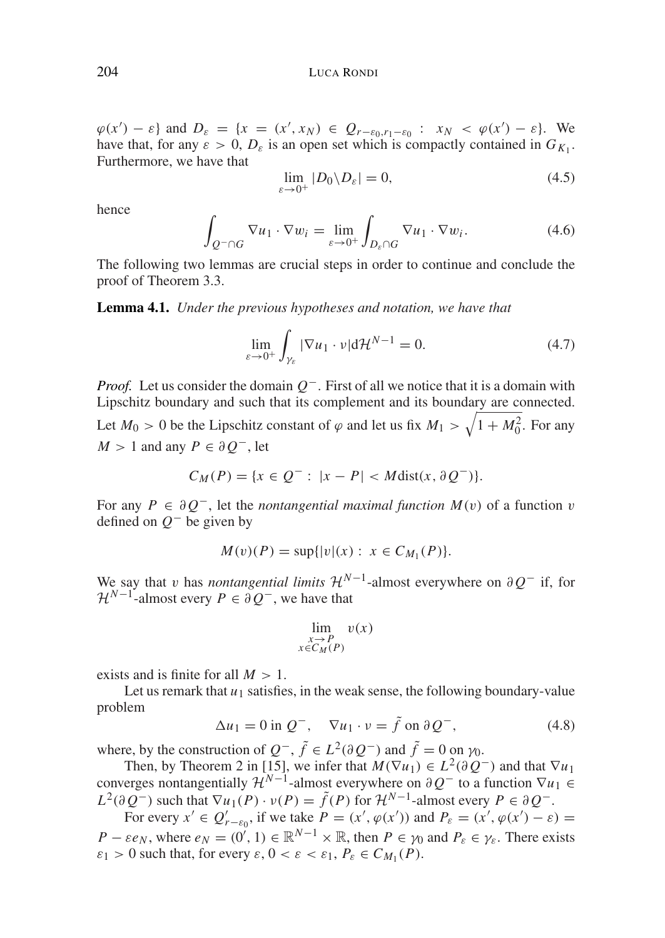$\varphi(x') - \varepsilon$  and  $D_{\varepsilon} = \{x = (x', x_N) \in Q_{r-\varepsilon_0, r_1-\varepsilon_0} : x_N < \varphi(x') - \varepsilon\}.$  We have that, for any  $\varepsilon > 0$ ,  $D_{\varepsilon}$  is an open set which is compactly contained in  $G_{K_1}$ . Furthermore, we have that

$$
\lim_{\varepsilon \to 0^+} |D_0 \backslash D_\varepsilon| = 0,\tag{4.5}
$$

hence

$$
\int_{Q^-\cap G} \nabla u_1 \cdot \nabla w_i = \lim_{\varepsilon \to 0^+} \int_{D_{\varepsilon} \cap G} \nabla u_1 \cdot \nabla w_i.
$$
\n(4.6)

The following two lemmas are crucial steps in order to continue and conclude the proof of Theorem 3.3.

**Lemma 4.1.** *Under the previous hypotheses and notation, we have that*

$$
\lim_{\varepsilon \to 0^+} \int_{\gamma_{\varepsilon}} |\nabla u_1 \cdot \nu| d\mathcal{H}^{N-1} = 0.
$$
 (4.7)

*Proof.* Let us consider the domain  $O<sup>−</sup>$ . First of all we notice that it is a domain with Lipschitz boundary and such that its complement and its boundary are connected.

Let  $M_0 > 0$  be the Lipschitz constant of  $\varphi$  and let us fix  $M_1 > \sqrt{1 + M_0^2}$ . For any *M* > 1 and any *P* ∈  $\partial$  *O*<sup>−</sup>, let

$$
C_M(P) = \{ x \in Q^- : \ |x - P| < M \text{dist}(x, \partial Q^-) \}.
$$

For any  $P \in \partial O^-$ , let the *nontangential maximal function*  $M(v)$  of a function v defined on *Q*<sup>−</sup> be given by

$$
M(v)(P) = \sup\{|v|(x) : x \in C_{M_1}(P)\}.
$$

We say that v has *nontangential limits*  $\mathcal{H}^{N-1}$ -almost everywhere on  $\partial Q^-$  if, for  $\mathcal{H}^{N-1}$ -almost every  $P \in \partial Q^-$ , we have that

$$
\lim_{\substack{x \to P \\ x \in C_M(P)}} v(x)
$$

exists and is finite for all  $M > 1$ .

Let us remark that  $u_1$  satisfies, in the weak sense, the following boundary-value problem

$$
\Delta u_1 = 0 \text{ in } Q^-, \quad \nabla u_1 \cdot \nu = \tilde{f} \text{ on } \partial Q^-, \tag{4.8}
$$

where, by the construction of  $Q^-$ ,  $\tilde{f} \in L^2(\partial Q^-)$  and  $\tilde{f} = 0$  on  $\gamma_0$ .

Then, by Theorem 2 in [15], we infer that  $M(\nabla u_1) \in L^2(\partial \Omega)$  and that  $\nabla u_1$ converges nontangentially  $\mathcal{H}^{N-1}$ -almost everywhere on  $\partial Q^-$  to a function  $\nabla u_1 \in$  $L^2(\partial Q^-)$  such that  $\nabla u_1(P) \cdot v(P) = \tilde{f}(P)$  for  $\mathcal{H}^{N-1}$ -almost every  $P \in \partial Q^-$ . For every  $x' \in Q'_{r-\epsilon_0}$ , if we take  $P = (x', \varphi(x'))$  and  $P_{\epsilon} = (x', \varphi(x') - \epsilon) =$ 

*P* −  $\varepsilon e_N$ , where  $e_N = (0', 1) \in \mathbb{R}^{N-1} \times \mathbb{R}$ , then *P* ∈  $\gamma_0$  and  $P_\varepsilon \in \gamma_\varepsilon$ . There exists  $\varepsilon_1 > 0$  such that, for every  $\varepsilon$ ,  $0 < \varepsilon < \varepsilon_1$ ,  $P_{\varepsilon} \in C_{M_1}(P)$ .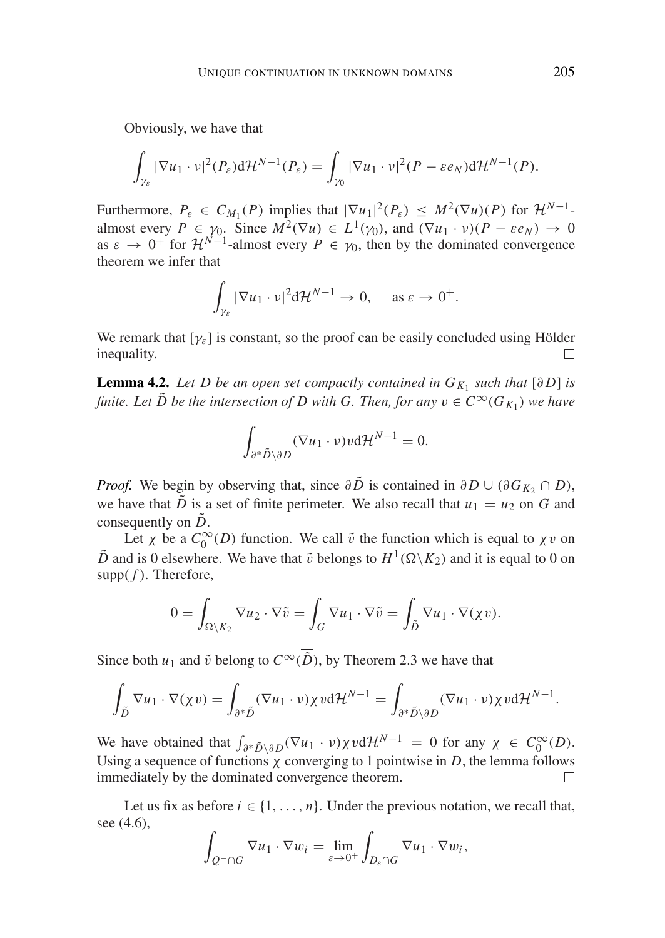Obviously, we have that

$$
\int_{\gamma_{\varepsilon}}|\nabla u_1\cdot v|^2(P_{\varepsilon})\mathrm{d}\mathcal{H}^{N-1}(P_{\varepsilon})=\int_{\gamma_0}|\nabla u_1\cdot v|^2(P-\varepsilon e_N)\mathrm{d}\mathcal{H}^{N-1}(P).
$$

Furthermore,  $P_{\varepsilon} \in C_{M_1}(P)$  implies that  $|\nabla u_1|^2(P_{\varepsilon}) \leq M^2(\nabla u)(P)$  for  $\mathcal{H}^{N-1}$ almost every  $P \in \gamma_0$ . Since  $M^2(\nabla u) \in L^1(\gamma_0)$ , and  $(\nabla u_1 \cdot v)(P - \varepsilon e_N) \to 0$ as  $\varepsilon \to 0^+$  for  $\mathcal{H}^{N-1}$ -almost every  $P \in \gamma_0$ , then by the dominated convergence theorem we infer that

$$
\int_{\gamma_{\varepsilon}} |\nabla u_1 \cdot \nu|^2 d\mathcal{H}^{N-1} \to 0, \quad \text{as } \varepsilon \to 0^+.
$$

We remark that  $[\gamma_{\varepsilon}]$  is constant, so the proof can be easily concluded using Hölder inequality inequality.

**Lemma 4.2.** *Let D be an open set compactly contained in*  $G_{K_1}$  *such that* [∂D] *is finite. Let*  $\tilde{D}$  *be the intersection of D with G. Then, for any*  $v \in C^{\infty}(G_K)$  *we have* 

$$
\int_{\partial^* \tilde{D} \setminus \partial D} (\nabla u_1 \cdot \nu) \nu d\mathcal{H}^{N-1} = 0.
$$

*Proof.* We begin by observing that, since  $\partial \tilde{D}$  is contained in  $\partial D \cup (\partial G_{K_2} \cap D)$ , we have that  $\tilde{D}$  is a set of finite perimeter. We also recall that  $u_1 = u_2$  on *G* and consequently on  $\tilde{D}$ .

Let  $\chi$  be a  $C_0^{\infty}(D)$  function. We call  $\tilde{v}$  the function which is equal to  $\chi v$  on  $\tilde{D}$  and is 0 elsewhere. We have that  $\tilde{v}$  belongs to  $H^1(\Omega \backslash K_2)$  and it is equal to 0 on  $supp(f)$ . Therefore,

$$
0 = \int_{\Omega \setminus K_2} \nabla u_2 \cdot \nabla \tilde{v} = \int_G \nabla u_1 \cdot \nabla \tilde{v} = \int_{\tilde{D}} \nabla u_1 \cdot \nabla (\chi v).
$$

Since both *u*<sub>1</sub> and  $\tilde{v}$  belong to  $C^{\infty}(\overline{\tilde{D}})$ , by Theorem 2.3 we have that

$$
\int_{\tilde{D}} \nabla u_1 \cdot \nabla (\chi v) = \int_{\partial^* \tilde{D}} (\nabla u_1 \cdot v) \chi v d\mathcal{H}^{N-1} = \int_{\partial^* \tilde{D} \setminus \partial D} (\nabla u_1 \cdot v) \chi v d\mathcal{H}^{N-1}.
$$

We have obtained that  $\int_{\partial^* \tilde{D} \setminus \partial D} (\nabla u_1 \cdot \nu) \chi \nu d\mathcal{H}^{N-1} = 0$  for any  $\chi \in C_0^{\infty}(D)$ . Using a sequence of functions  $\chi$  converging to 1 pointwise in *D*, the lemma follows immediately by the dominated convergence theorem.  $\Box$ 

Let us fix as before  $i \in \{1, \ldots, n\}$ . Under the previous notation, we recall that, see (4.6),

$$
\int_{Q^-\cap G} \nabla u_1 \cdot \nabla w_i = \lim_{\varepsilon \to 0^+} \int_{D_{\varepsilon} \cap G} \nabla u_1 \cdot \nabla w_i,
$$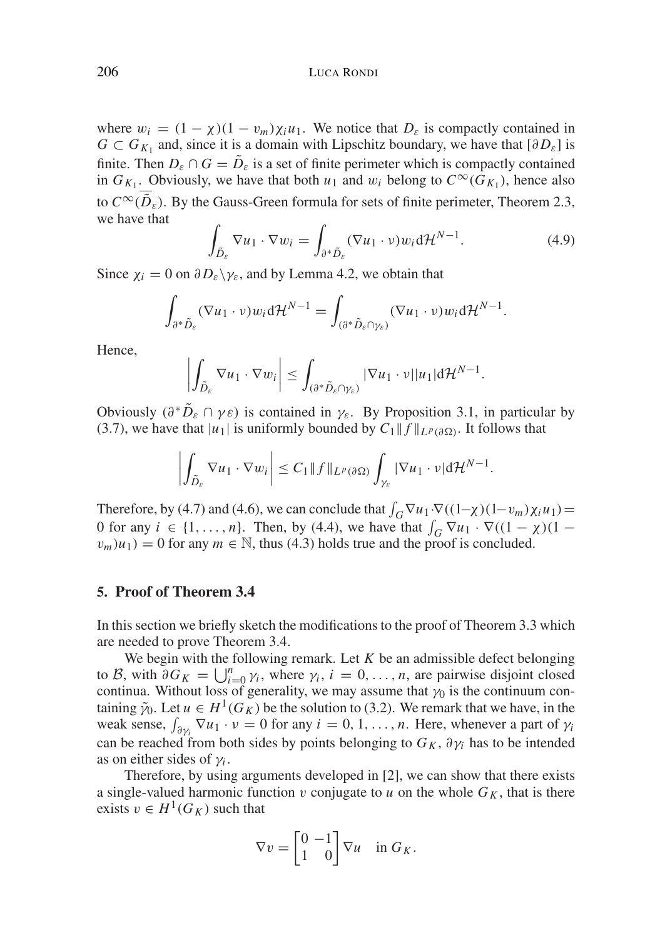206 LUCA RONDI

where  $w_i = (1 - \chi)(1 - v_m)\chi_i u_1$ . We notice that  $D_{\varepsilon}$  is compactly contained in *G* ⊂ *G<sub>K<sub>1</sub>*</sub> and, since it is a domain with Lipschitz boundary, we have that  $[∂D_{ε}]$  is finite. Then  $D_{\varepsilon} \cap G = \tilde{D}_{\varepsilon}$  is a set of finite perimeter which is compactly contained in  $G_{K_1}$ . Obviously, we have that both  $u_1$  and  $w_i$  belong to  $C^{\infty}(G_{K_1})$ , hence also to  $C^{\infty}(\overline{\tilde{D}}_s)$ . By the Gauss-Green formula for sets of finite perimeter, Theorem 2.3, we have that

$$
\int_{\tilde{D}_{\varepsilon}} \nabla u_1 \cdot \nabla w_i = \int_{\partial^* \tilde{D}_{\varepsilon}} (\nabla u_1 \cdot \nu) w_i d\mathcal{H}^{N-1}.
$$
\n(4.9)

Since  $\chi_i = 0$  on  $\partial D_{\varepsilon} \backslash \gamma_{\varepsilon}$ , and by Lemma 4.2, we obtain that

$$
\int_{\partial^*\tilde{D}_{\varepsilon}} (\nabla u_1 \cdot \nu) w_i d\mathcal{H}^{N-1} = \int_{(\partial^*\tilde{D}_{\varepsilon} \cap \gamma_{\varepsilon})} (\nabla u_1 \cdot \nu) w_i d\mathcal{H}^{N-1}.
$$

Hence,

$$
\left|\int_{\tilde{D}_{\varepsilon}}\nabla u_1\cdot\nabla w_i\right|\leq \int_{(\partial^*\tilde{D}_{\varepsilon}\cap\gamma_{\varepsilon})}|\nabla u_1\cdot\nu||u_1|\mathrm{d}\mathcal{H}^{N-1}.
$$

Obviously  $(\partial^* \tilde{D}_{\varepsilon} \cap \gamma \varepsilon)$  is contained in  $\gamma_{\varepsilon}$ . By Proposition 3.1, in particular by (3.7), we have that  $|u_1|$  is uniformly bounded by  $C_1 || f ||_{L^p(\partial \Omega)}$ . It follows that

$$
\left|\int_{\tilde{D}_{\varepsilon}}\nabla u_1\cdot\nabla w_i\right|\leq C_1\|f\|_{L^p(\partial\Omega)}\int_{\gamma_{\varepsilon}}|\nabla u_1\cdot\nu|\mathrm{d}\mathcal{H}^{N-1}.
$$

Therefore, by (4.7) and (4.6), we can conclude that  $\int_G \nabla u_1 \cdot \nabla ((1-\chi)(1-v_m)\chi_i u_1)$ 0 for any  $i \in \{1, ..., n\}$ . Then, by (4.4), we have that  $\int_G \nabla u_1 \cdot \nabla ((1 - \chi)(1$  $v_m(u_1) = 0$  for any  $m \in \mathbb{N}$ , thus (4.3) holds true and the proof is concluded.

# **5. Proof of Theorem 3.4**

In this section we briefly sketch the modifications to the proof of Theorem 3.3 which are needed to prove Theorem 3.4.

We begin with the following remark. Let *K* be an admissible defect belonging to B, with  $\partial G_K = \bigcup_{i=0}^n \gamma_i$ , where  $\gamma_i$ ,  $i = 0, \ldots, n$ , are pairwise disjoint closed continua. Without loss of generality, we may assume that  $\gamma_0$  is the continuum containing  $\tilde{\gamma}_0$ . Let  $u \in H^1(G_K)$  be the solution to (3.2). We remark that we have, in the weak sense,  $\int_{\partial \gamma_i} \nabla u_1 \cdot \nu = 0$  for any  $i = 0, 1, ..., n$ . Here, whenever a part of  $\gamma_i$ can be reached from both sides by points belonging to  $G_K$ ,  $\partial \gamma_i$  has to be intended as on either sides of  $\gamma$ *i*.

Therefore, by using arguments developed in [2], we can show that there exists a single-valued harmonic function  $v$  conjugate to  $u$  on the whole  $G_K$ , that is there exists  $v \in H^1(G_K)$  such that

$$
\nabla v = \begin{bmatrix} 0 & -1 \\ 1 & 0 \end{bmatrix} \nabla u \quad \text{in } G_K.
$$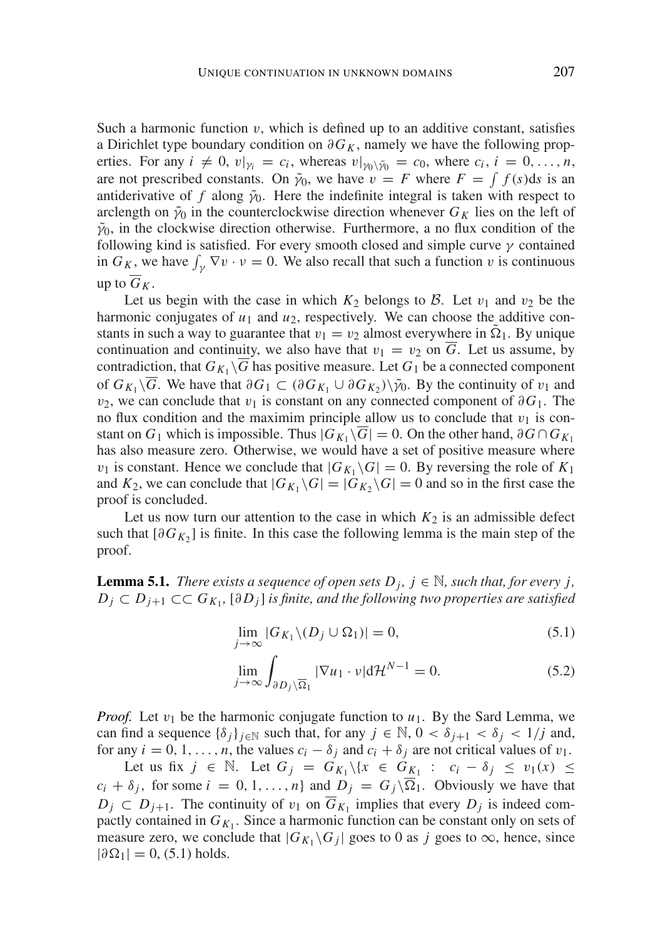Such a harmonic function  $v$ , which is defined up to an additive constant, satisfies a Dirichlet type boundary condition on  $\partial G_K$ , namely we have the following properties. For any  $i \neq 0$ ,  $v|_{\gamma_i} = c_i$ , whereas  $v|_{\gamma_0 \setminus \tilde{\gamma}_0} = c_0$ , where  $c_i$ ,  $i = 0, \ldots, n$ , are not prescribed constants. On  $\tilde{\gamma}_0$ , we have  $v = F$  where  $F = \int f(s) ds$  is an antiderivative of f along  $\tilde{\gamma}_0$ . Here the indefinite integral is taken with respect to arclength on  $\tilde{\gamma}_0$  in the counterclockwise direction whenever  $G_K$  lies on the left of  $\tilde{\gamma}_0$ , in the clockwise direction otherwise. Furthermore, a no flux condition of the following kind is satisfied. For every smooth closed and simple curve  $\gamma$  contained in  $G_K$ , we have  $\int_{\gamma} \nabla v \cdot v = 0$ . We also recall that such a function v is continuous up to  $\overline{G}_K$ .

Let us begin with the case in which  $K_2$  belongs to  $\beta$ . Let  $v_1$  and  $v_2$  be the harmonic conjugates of  $u_1$  and  $u_2$ , respectively. We can choose the additive constants in such a way to guarantee that  $v_1 = v_2$  almost everywhere in  $\Omega_1$ . By unique continuation and continuity, we also have that  $v_1 = v_2$  on  $\overline{G}$ . Let us assume, by contradiction, that  $G_{K_1} \backslash G$  has positive measure. Let  $G_1$  be a connected component of  $G_{K_1} \backslash \overline{G}$ . We have that  $\partial G_1 \subset (\partial G_{K_1} \cup \partial G_{K_2}) \backslash \tilde{\gamma}_0$ . By the continuity of  $v_1$  and v<sub>2</sub>, we can conclude that v<sub>1</sub> is constant on any connected component of  $\partial G_1$ . The no flux condition and the maximim principle allow us to conclude that  $v_1$  is constant on *G*<sub>1</sub> which is impossible. Thus  $|G_{K_1} \setminus \overline{G}| = 0$ . On the other hand, ∂*G* ∩  $G_{K_1}$ has also measure zero. Otherwise, we would have a set of positive measure where  $v_1$  is constant. Hence we conclude that  $|G_{K_1} \backslash G| = 0$ . By reversing the role of  $K_1$ and  $K_2$ , we can conclude that  $|G_{K_1} \backslash G| = |G_{K_2} \backslash G| = 0$  and so in the first case the proof is concluded.

Let us now turn our attention to the case in which  $K_2$  is an admissible defect such that  $[\partial G_{K_2}]$  is finite. In this case the following lemma is the main step of the proof.

**Lemma 5.1.** *There exists a sequence of open sets*  $D_j$ ,  $j \in \mathbb{N}$ *, such that, for every j, D*<sub>*j*</sub> ⊂ *D*<sub>*j*+1</sub> ⊂⊂ *G*<sub>*K*<sub>1</sub></sub>, [∂*D<sub><i>j*</sub>] *is finite, and the following two properties are satisfied* 

$$
\lim_{j \to \infty} |G_{K_1} \setminus (D_j \cup \Omega_1)| = 0,\tag{5.1}
$$

$$
\lim_{j \to \infty} \int_{\partial D_j \setminus \overline{\Omega}_1} |\nabla u_1 \cdot \nu| d\mathcal{H}^{N-1} = 0.
$$
 (5.2)

*Proof.* Let  $v_1$  be the harmonic conjugate function to  $u_1$ . By the Sard Lemma, we can find a sequence  $\{\delta_i\}_{i\in\mathbb{N}}$  such that, for any  $j \in \mathbb{N}$ ,  $0 < \delta_{i+1} < \delta_i < 1/j$  and, for any  $i = 0, 1, \ldots, n$ , the values  $c_i - \delta_j$  and  $c_i + \delta_j$  are not critical values of  $v_1$ .

Let us fix *j* ∈  $\mathbb N$ . Let  $G_j = G_{K_1} \setminus \{x \in G_{K_1} : c_i - \delta_j \le v_1(x) \le$  $c_i + \delta_j$ , for some  $i = 0, 1, ..., n$  and  $D_j = G_j \setminus \overline{\Omega}_1$ . Obviously we have that  $D_j \subset D_{j+1}$ . The continuity of  $v_1$  on  $G_{K_1}$  implies that every  $D_j$  is indeed compactly contained in  $G_{K_1}$ . Since a harmonic function can be constant only on sets of measure zero, we conclude that  $|G_{K_1} \backslash G_i|$  goes to 0 as *j* goes to  $\infty$ , hence, since  $|\partial \Omega_1| = 0$ , (5.1) holds.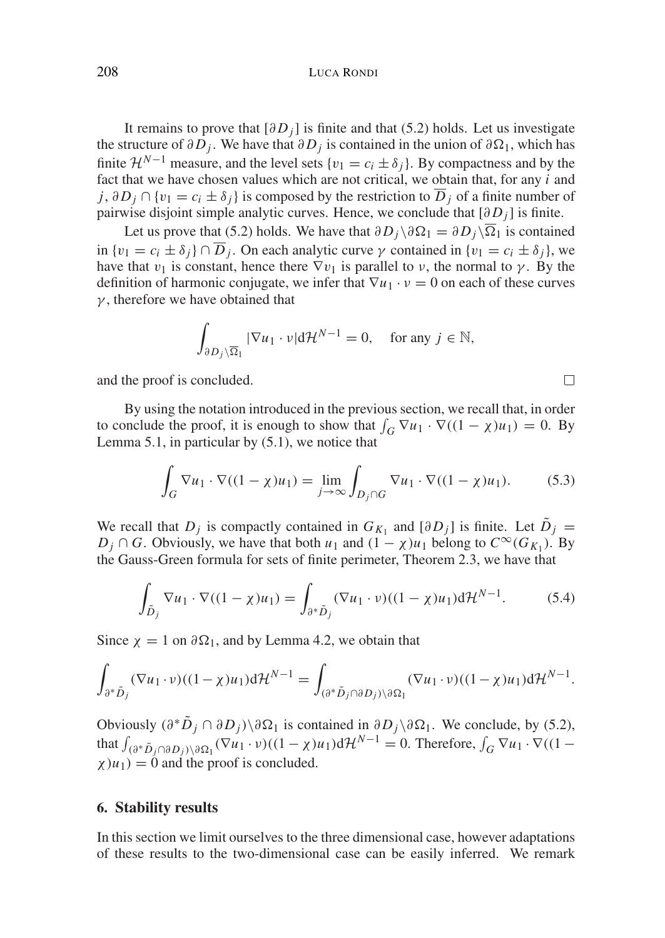It remains to prove that  $\left[\partial D_i\right]$  is finite and that (5.2) holds. Let us investigate the structure of  $\partial D_i$ . We have that  $\partial D_j$  is contained in the union of  $\partial \Omega_1$ , which has finite  $\mathcal{H}^{N-1}$  measure, and the level sets  $\{v_1 = c_i \pm \delta_i\}$ . By compactness and by the fact that we have chosen values which are not critical, we obtain that, for any *i* and *j*, ∂ $D_j$  ∩ { $v_1 = c_i \pm \delta_j$ } is composed by the restriction to  $\overline{D}_j$  of a finite number of pairwise disjoint simple analytic curves. Hence, we conclude that  $[\partial D_i]$  is finite.

Let us prove that (5.2) holds. We have that  $\partial D_i \setminus \partial \Omega_1 = \partial D_i \setminus \overline{\Omega}_1$  is contained in  $\{v_1 = c_i \pm \delta_j\} \cap \overline{D}_j$ . On each analytic curve  $\gamma$  contained in  $\{v_1 = c_i \pm \delta_j\}$ , we have that  $v_1$  is constant, hence there  $\nabla v_1$  is parallel to v, the normal to  $\gamma$ . By the definition of harmonic conjugate, we infer that  $\nabla u_1 \cdot v = 0$  on each of these curves  $\gamma$ , therefore we have obtained that

$$
\int_{\partial D_j \setminus \overline{\Omega}_1} |\nabla u_1 \cdot \nu| d\mathcal{H}^{N-1} = 0, \text{ for any } j \in \mathbb{N},
$$

and the proof is concluded.

By using the notation introduced in the previous section, we recall that, in order to conclude the proof, it is enough to show that  $\int_G \nabla u_1 \cdot \nabla ((1 - \chi)u_1) = 0$ . By Lemma 5.1, in particular by (5.1), we notice that

$$
\int_{G} \nabla u_1 \cdot \nabla ((1 - \chi)u_1) = \lim_{j \to \infty} \int_{D_j \cap G} \nabla u_1 \cdot \nabla ((1 - \chi)u_1). \tag{5.3}
$$

We recall that *D<sub>j</sub>* is compactly contained in  $G_{K_1}$  and  $[\partial D_j]$  is finite. Let  $\tilde{D}_j =$ *D<sub>j</sub>* ∩ *G*. Obviously, we have that both *u*<sub>1</sub> and  $(1 − χ)u_1$  belong to  $C^∞(G_{K_1})$ . By the Gauss-Green formula for sets of finite perimeter, Theorem 2.3, we have that

$$
\int_{\tilde{D}_j} \nabla u_1 \cdot \nabla ((1 - \chi)u_1) = \int_{\partial^* \tilde{D}_j} (\nabla u_1 \cdot \nu)((1 - \chi)u_1) d\mathcal{H}^{N-1}.
$$
 (5.4)

Since  $\chi = 1$  on  $\partial \Omega_1$ , and by Lemma 4.2, we obtain that

$$
\int_{\partial^*\tilde{D}_j} (\nabla u_1 \cdot \nu)((1-\chi)u_1) d\mathcal{H}^{N-1} = \int_{(\partial^*\tilde{D}_j \cap \partial D_j) \setminus \partial \Omega_1} (\nabla u_1 \cdot \nu)((1-\chi)u_1) d\mathcal{H}^{N-1}.
$$

Obviously  $(\partial^* \tilde{D}_i \cap \partial D_i) \setminus \partial \Omega_1$  is contained in  $\partial D_i \setminus \partial \Omega_1$ . We conclude, by (5.2), that  $\int_{(\partial^*\tilde{D}_j \cap \partial D_j) \setminus \partial \Omega_1} (\nabla u_1 \cdot \nu)((1 - \chi)u_1) d\mathcal{H}^{N-1} = 0$ . Therefore,  $\int_G \nabla u_1 \cdot \nabla ((1 - \chi)u_1) d\mathcal{H}^{N-1} = 0$ .  $\chi$ ) $u_1$ ) = 0 and the proof is concluded.

#### **6. Stability results**

In this section we limit ourselves to the three dimensional case, however adaptations of these results to the two-dimensional case can be easily inferred. We remark

 $\Box$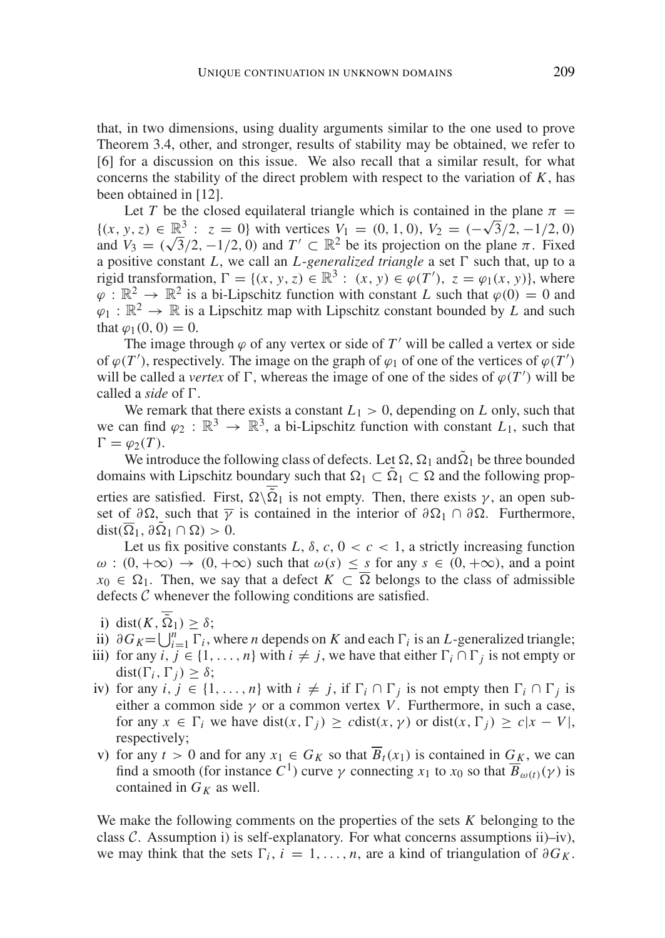that, in two dimensions, using duality arguments similar to the one used to prove Theorem 3.4, other, and stronger, results of stability may be obtained, we refer to [6] for a discussion on this issue. We also recall that a similar result, for what concerns the stability of the direct problem with respect to the variation of  $K$ , has been obtained in [12].

Let *T* be the closed equilateral triangle which is contained in the plane  $\pi$  = Let *I* be the closed equilateral triangle which is contained in the plane  $\pi =$ <br>{ $(x, y, z) \in \mathbb{R}^3 : z = 0$ } with vertices  $V_1 = (0, 1, 0), V_2 = (-\sqrt{3}/2, -1/2, 0)$  $\{ (x, y, z) \in \mathbb{R}^3 : z = 0 \}$  with vertices  $V_1 = (0, 1, 0), V_2 = (-\sqrt{3}/2, -1/2, 0)$ <br>and  $V_3 = (\sqrt{3}/2, -1/2, 0)$  and  $T' \subset \mathbb{R}^2$  be its projection on the plane  $\pi$ . Fixed a positive constant *L*, we call an *L*-*generalized triangle* a set  $\Gamma$  such that, up to a rigid transformation,  $\Gamma = \{(x, y, z) \in \mathbb{R}^3 : (x, y) \in \varphi(T'), z = \varphi_1(x, y)\}\)$ , where  $\varphi : \mathbb{R}^2 \to \mathbb{R}^2$  is a bi-Lipschitz function with constant *L* such that  $\varphi(0) = 0$  and  $\varphi_1 : \mathbb{R}^2 \to \mathbb{R}$  is a Lipschitz map with Lipschitz constant bounded by *L* and such that  $\varphi_1(0, 0) = 0$ .

The image through  $\varphi$  of any vertex or side of  $T'$  will be called a vertex or side of  $\varphi(T')$ , respectively. The image on the graph of  $\varphi_1$  of one of the vertices of  $\varphi(T')$ will be called a *vertex* of  $\Gamma$ , whereas the image of one of the sides of  $\varphi(T')$  will be called a *side* of  $\Gamma$ .

We remark that there exists a constant  $L_1 > 0$ , depending on *L* only, such that we can find  $\varphi_2 : \mathbb{R}^3 \to \mathbb{R}^3$ , a bi-Lipschitz function with constant  $L_1$ , such that  $\Gamma = \varphi_2(T).$ 

We introduce the following class of defects. Let  $\Omega$ ,  $\Omega_1$  and  $\tilde{\Omega}_1$  be three bounded domains with Lipschitz boundary such that  $\Omega_1 \subset \tilde{\Omega}_1 \subset \Omega$  and the following properties are satisfied. First,  $\Omega \backslash \overline{\Omega}_1$  is not empty. Then, there exists  $\gamma$ , an open subset of  $\partial\Omega$ , such that  $\overline{\gamma}$  is contained in the interior of  $\partial\Omega_1 \cap \partial\Omega$ . Furthermore,  $dist(\overline{\Omega}_1, \partial \overline{\Omega}_1 \cap \Omega) > 0.$ 

Let us fix positive constants *L*,  $\delta$ ,  $c$ ,  $0 < c < 1$ , a strictly increasing function  $\omega : (0, +\infty) \to (0, +\infty)$  such that  $\omega(s) \leq s$  for any  $s \in (0, +\infty)$ , and a point  $x_0 \in \Omega_1$ . Then, we say that a defect  $K \subset \Omega$  belongs to the class of admissible defects  $C$  whenever the following conditions are satisfied.

- i) dist( $K$ ,  $\tilde{\Omega}_1$ )  $\geq \delta$ ;
- ii)  $\partial G_K = \bigcup_{i=1}^n \Gamma_i$ , where *n* depends on *K* and each  $\Gamma_i$  is an *L*-generalized triangle;
- iii) for any *i*,  $j \in \{1, ..., n\}$  with  $i \neq j$ , we have that either  $\Gamma_i \cap \Gamma_j$  is not empty or dist( $\Gamma_i$ ,  $\Gamma_j$ )  $\geq \delta$ ;
- iv) for any *i*,  $j \in \{1, \ldots, n\}$  with  $i \neq j$ , if  $\Gamma_i \cap \Gamma_j$  is not empty then  $\Gamma_i \cap \Gamma_j$  is either a common side  $\gamma$  or a common vertex *V*. Furthermore, in such a case, for any  $x \in \Gamma_i$  we have dist( $x, \Gamma_j$ ) ≥ *c*dist( $x, \gamma$ ) or dist( $x, \Gamma_j$ ) ≥  $c|x - V|$ , respectively;
- v) for any  $t > 0$  and for any  $x_1 \in G_K$  so that  $\overline{B}_t(x_1)$  is contained in  $G_K$ , we can find a smooth (for instance  $C^1$ ) curve  $\gamma$  connecting  $x_1$  to  $x_0$  so that  $\overline{B}_{\omega(t)}(\gamma)$  is contained in  $G_K$  as well.

We make the following comments on the properties of the sets *K* belonging to the class  $C$ . Assumption i) is self-explanatory. For what concerns assumptions ii)–iv), we may think that the sets  $\Gamma_i$ ,  $i = 1, \ldots, n$ , are a kind of triangulation of  $\partial G_K$ .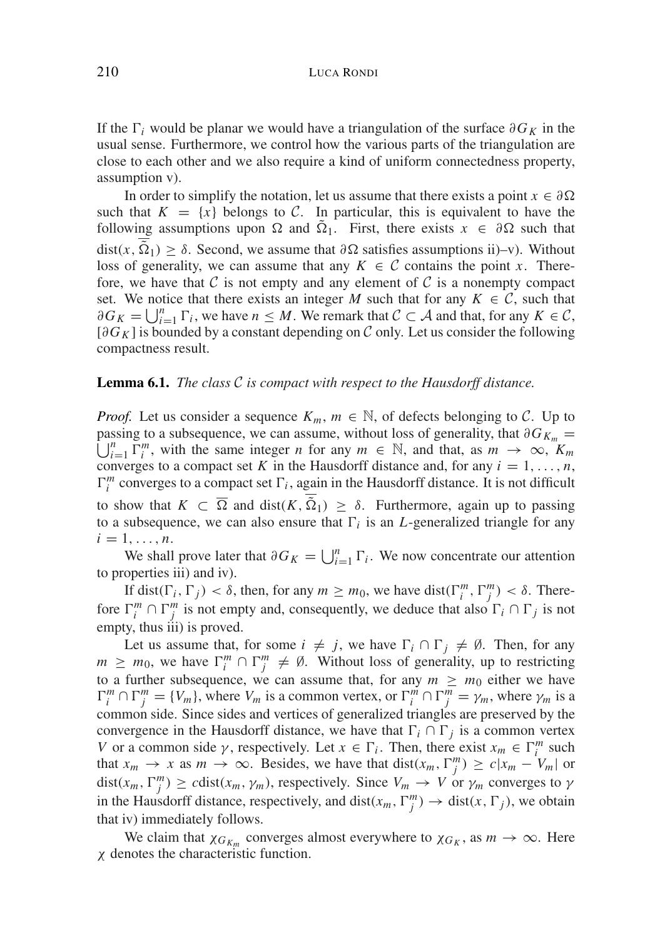If the  $\Gamma_i$  would be planar we would have a triangulation of the surface  $\partial G_K$  in the usual sense. Furthermore, we control how the various parts of the triangulation are close to each other and we also require a kind of uniform connectedness property, assumption v).

In order to simplify the notation, let us assume that there exists a point  $x \in \partial \Omega$ such that  $K = \{x\}$  belongs to C. In particular, this is equivalent to have the following assumptions upon  $\Omega$  and  $\Omega_1$ . First, there exists  $x \in \partial \Omega$  such that dist(x,  $\Omega_1$ ) ≥  $\delta$ . Second, we assume that  $\partial \Omega$  satisfies assumptions ii)–v). Without loss of generality, we can assume that any  $K \in \mathcal{C}$  contains the point *x*. Therefore, we have that C is not empty and any element of C is a nonempty compact set. We notice that there exists an integer M such that for any  $K \in \mathcal{C}$ , such that  $\partial G_K = \bigcup_{i=1}^n \Gamma_i$ , we have  $n \leq M$ . We remark that  $C \subset \mathcal{A}$  and that, for any  $K \in \mathcal{C}$ ,  $[\partial G_K]$  is bounded by a constant depending on C only. Let us consider the following compactness result.

#### **Lemma 6.1.** *The class* C *is compact with respect to the Hausdorff distance.*

*Proof.* Let us consider a sequence  $K_m$ ,  $m \in \mathbb{N}$ , of defects belonging to C. Up to  $\bigcup_{i=1}^{n} \Gamma_i^m$ , with the same integer *n* for any  $m \in \mathbb{N}$ , and that, as  $m \to \infty$ ,  $K_m$ passing to a subsequence, we can assume, without loss of generality, that  $\partial G_{K_m}$  = converges to a compact set K in the Hausdorff distance and, for any  $i = 1, \ldots, n$ ,  $\Gamma_i^m$  converges to a compact set  $\Gamma_i$ , again in the Hausdorff distance. It is not difficult to show that  $K \subset \overline{\Omega}$  and  $dist(K, \tilde{\Omega}_1) \ge \delta$ . Furthermore, again up to passing to a subsequence, we can also ensure that  $\Gamma_i$  is an *L*-generalized triangle for any  $i=1,\ldots,n$ .

We shall prove later that  $\partial G_K = \bigcup_{i=1}^n \Gamma_i$ . We now concentrate our attention to properties iii) and iv).

If dist( $\Gamma_i$ ,  $\Gamma_j$ ) <  $\delta$ , then, for any  $m \ge m_0$ , we have dist( $\Gamma_i^m$ ,  $\Gamma_j^m$ ) <  $\delta$ . Therefore  $\Gamma_i^m \cap \Gamma_j^m$  is not empty and, consequently, we deduce that also  $\Gamma_i \cap \Gamma_j$  is not empty, thus iii) is proved.

Let us assume that, for some  $i \neq j$ , we have  $\Gamma_i \cap \Gamma_j \neq \emptyset$ . Then, for any  $m \geq m_0$ , we have  $\Gamma_i^m \cap \Gamma_j^m \neq \emptyset$ . Without loss of generality, up to restricting to a further subsequence, we can assume that, for any  $m \ge m_0$  either we have  $\Gamma_i^m \cap \Gamma_j^m = \{V_m\}$ , where  $V_m$  is a common vertex, or  $\Gamma_i^m \cap \Gamma_j^m = \gamma_m$ , where  $\gamma_m$  is a common side. Since sides and vertices of generalized triangles are preserved by the convergence in the Hausdorff distance, we have that  $\Gamma_i \cap \Gamma_j$  is a common vertex *V* or a common side  $\gamma$ , respectively. Let  $x \in \Gamma_i$ . Then, there exist  $x_m \in \Gamma_i^m$  such that  $x_m \to x$  as  $m \to \infty$ . Besides, we have that dist $(x_m, \Gamma_j^m) \ge c |x_m - V_m|$  or dist( $x_m$ ,  $\Gamma_j^m$ )  $\geq$  *c*dist( $x_m$ ,  $\gamma_m$ ), respectively. Since  $V_m \to V$  or  $\gamma_m$  converges to  $\gamma$ in the Hausdorff distance, respectively, and dist( $x_m$ ,  $\Gamma_j^m$ )  $\to$  dist( $x$ ,  $\Gamma_j$ ), we obtain that iv) immediately follows.

We claim that  $\chi_{G_{K_m}}$  converges almost everywhere to  $\chi_{G_K}$ , as  $m \to \infty$ . Here χ denotes the characteristic function.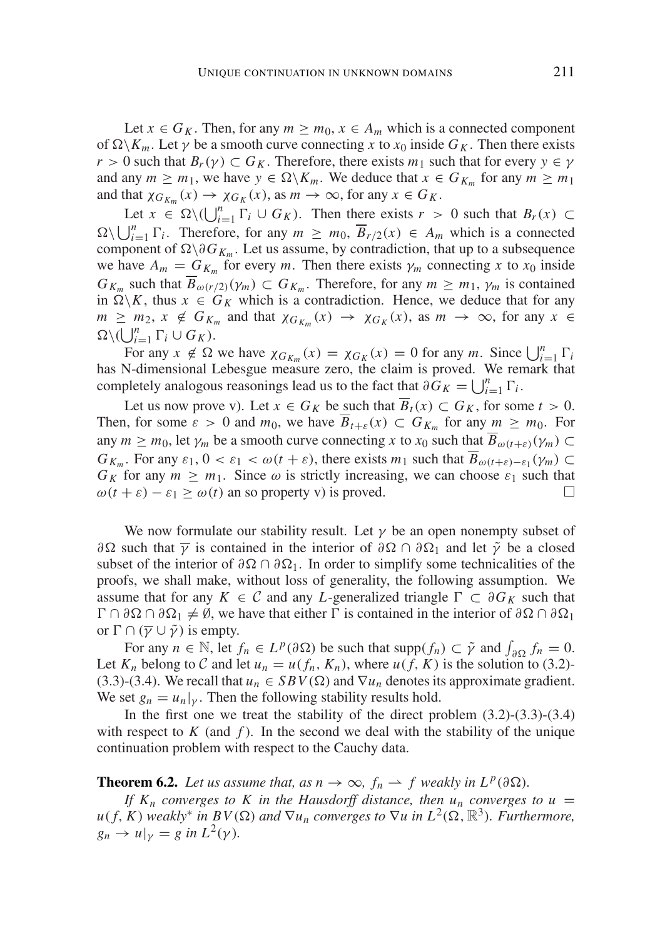Let  $x \in G_K$ . Then, for any  $m \ge m_0$ ,  $x \in A_m$  which is a connected component of  $\Omega \setminus K_m$ . Let  $\gamma$  be a smooth curve connecting *x* to  $x_0$  inside  $G_K$ . Then there exists *r* > 0 such that  $B_r(\gamma) \subset G_K$ . Therefore, there exists  $m_1$  such that for every  $\gamma \in \gamma$ and any  $m \geq m_1$ , we have  $y \in \Omega \backslash K_m$ . We deduce that  $x \in G_{K_m}$  for any  $m \geq m_1$ and that  $\chi_{G_{K_m}}(x) \to \chi_{G_K}(x)$ , as  $m \to \infty$ , for any  $x \in G_K$ .

Let  $x \in \Omega \setminus (\bigcup_{i=1}^n \Gamma_i \cup G_K)$ . Then there exists  $r > 0$  such that  $B_r(x) \subset$  $\Omega \setminus \bigcup_{i=1}^n \Gamma_i$ . Therefore, for any  $m \geq m_0$ ,  $\overline{B}_{r/2}(x) \in A_m$  which is a connected component of  $\Omega \setminus \partial G_{K_m}$ . Let us assume, by contradiction, that up to a subsequence we have  $A_m = G_{K_m}$  for every *m*. Then there exists  $\gamma_m$  connecting *x* to  $x_0$  inside *G<sub>Km</sub>* such that  $\overline{B}_{\omega(r/2)}(\gamma_m) \subset G_{K_m}$ . Therefore, for any  $m \geq m_1$ ,  $\gamma_m$  is contained in  $\Omega \backslash K$ , thus  $x \in G_K$  which is a contradiction. Hence, we deduce that for any  $m \geq m_2$ ,  $x \notin G_{K_m}$  and that  $\chi_{G_{K_m}}(x) \to \chi_{G_K}(x)$ , as  $m \to \infty$ , for any  $x \in$  $\Omega \setminus (\bigcup_{i=1}^n \Gamma_i \cup G_K).$ 

For any  $x \notin \Omega$  we have  $\chi_{G_{K_m}}(x) = \chi_{G_K}(x) = 0$  for any *m*. Since  $\bigcup_{i=1}^n \Gamma_i$ has N-dimensional Lebesgue measure zero, the claim is proved. We remark that completely analogous reasonings lead us to the fact that  $\partial G_K = \bigcup_{i=1}^n \Gamma_i$ .

Let us now prove v). Let  $x \in G_K$  be such that  $\overline{B}_t(x) \subset G_K$ , for some  $t > 0$ . Then, for some  $\varepsilon > 0$  and  $m_0$ , we have  $\overline{B}_{t+\varepsilon}(x) \subset G_{K_m}$  for any  $m \geq m_0$ . For any  $m \geq m_0$ , let  $\gamma_m$  be a smooth curve connecting *x* to  $x_0$  such that  $\overline{B}_{\omega(t+\varepsilon)}(\gamma_m) \subset$ *G<sub>Km</sub>*. For any  $\varepsilon_1$ ,  $0 < \varepsilon_1 < \omega(t + \varepsilon)$ , there exists  $m_1$  such that  $\overline{B}_{\omega(t+\varepsilon)-\varepsilon_1}(\gamma_m) \subset$  $G_K$  for any  $m \geq m_1$ . Since  $\omega$  is strictly increasing, we can choose  $\varepsilon_1$  such that  $\omega(t+\varepsilon) - \varepsilon_1 \geq \omega(t)$  an so property v) is proved. □

We now formulate our stability result. Let  $\gamma$  be an open nonempty subset of  $\partial Ω$  such that  $\overline{γ}$  is contained in the interior of  $\partial Ω ∩ ∂Ω₁$  and let  $\tildeγ$  be a closed subset of the interior of  $\partial \Omega \cap \partial \Omega_1$ . In order to simplify some technicalities of the proofs, we shall make, without loss of generality, the following assumption. We assume that for any  $K \in \mathcal{C}$  and any *L*-generalized triangle  $\Gamma \subset \partial G_K$  such that  $\Gamma \cap \partial \Omega \cap \partial \Omega_1 \neq \emptyset$ , we have that either  $\Gamma$  is contained in the interior of  $\partial \Omega \cap \partial \Omega_1$ or  $\Gamma \cap (\overline{\gamma} \cup \tilde{\gamma})$  is empty.

For any  $n \in \mathbb{N}$ , let  $f_n \in L^p(\partial \Omega)$  be such that  $\text{supp}(f_n) \subset \tilde{\gamma}$  and  $\int_{\partial \Omega} f_n = 0$ . Let  $K_n$  belong to C and let  $u_n = u(f_n, K_n)$ , where  $u(f, K)$  is the solution to (3.2)-(3.3)-(3.4). We recall that  $u_n \in SBV(\Omega)$  and  $\nabla u_n$  denotes its approximate gradient. We set  $g_n = u_n|_{\gamma}$ . Then the following stability results hold.

In the first one we treat the stability of the direct problem  $(3.2)$ - $(3.3)$ - $(3.4)$ with respect to  $K$  (and  $f$ ). In the second we deal with the stability of the unique continuation problem with respect to the Cauchy data.

**Theorem 6.2.** *Let us assume that, as n*  $\rightarrow \infty$ *, f<sub>n</sub>*  $\rightarrow$  *f weakly in L<sup>p</sup>*(∂ $\Omega$ )*.* 

*If*  $K_n$  *converges to*  $K$  *in the Hausdorff distance, then*  $u_n$  *converges to*  $u =$  $u(f, K)$  *weakly<sup>\*</sup> in BV*( $\Omega$ ) *and*  $\nabla u_n$  *converges to*  $\nabla u$  *in*  $L^2(\Omega, \mathbb{R}^3)$ *. Furthermore,*  $g_n \to u|_{\gamma} = g$  in  $L^2(\gamma)$ .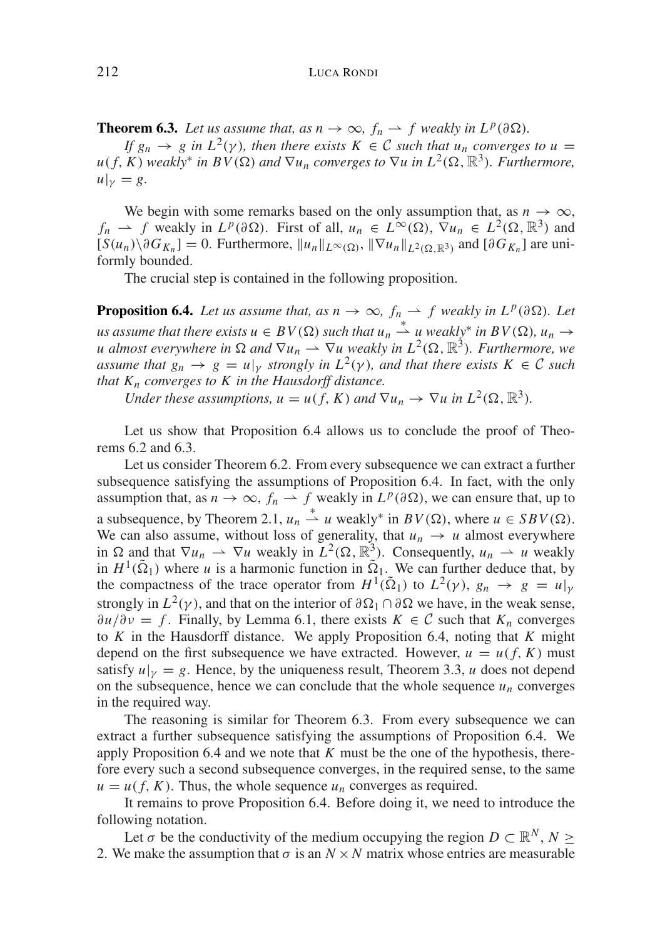**Theorem 6.3.** *Let us assume that, as*  $n \to \infty$ *,*  $f_n \to f$  *weakly in*  $L^p(\partial \Omega)$ *.* 

*If*  $g_n \to g$  in  $L^2(\gamma)$ , then there exists  $K \in \mathbb{C}$  such that  $u_n$  converges to  $u = K^2(\gamma)$ .  $u(f, K)$  *weakly<sup>\*</sup> in BV*( $\Omega$ ) *and*  $\nabla u_n$  *converges to*  $\nabla u$  *in*  $L^2(\Omega, \mathbb{R}^3)$ *. Furthermore,*  $u|_{\nu} = g.$ 

We begin with some remarks based on the only assumption that, as  $n \to \infty$ ,  $f_n \rightharpoonup f$  weakly in  $L^p(\partial \Omega)$ . First of all,  $u_n \in L^{\infty}(\Omega)$ ,  $\nabla u_n \in L^2(\Omega, \mathbb{R}^3)$  and  $[S(u_n)\setminus \partial G_{K_n}] = 0$ . Furthermore,  $||u_n||_{L^{\infty}(\Omega)}$ ,  $||\nabla u_n||_{L^2(\Omega \mathbb{R}^3)}$  and  $[\partial G_{K_n}]$  are uniformly bounded.

The crucial step is contained in the following proposition.

**Proposition 6.4.** *Let us assume that, as n*  $\rightarrow \infty$ *, f<sub>n</sub>*  $\rightarrow$  *f weakly in L<sup>p</sup>(∂Ω). Let*  $u$ *s* assume that there exists  $u \in BV(\Omega)$  such that  $u_n \stackrel{*}{\rightharpoonup} u$  weakly<sup>\*</sup> in  $BV(\Omega)$ ,  $u_n \rightarrow$ *u* almost everywhere in  $\Omega$  and  $\nabla u_n \rightharpoonup \nabla u$  weakly in  $L^2(\Omega, \mathbb{R}^3)$ . *Furthermore, we assume that*  $g_n \to g = u|_y$  *strongly in*  $L^2(y)$ *, and that there exists*  $K \in \mathcal{C}$  *such that*  $K_n$  *converges to*  $K$  *in the Hausdorff distance.* 

*Under these assumptions,*  $u = u(f, K)$  *and*  $\nabla u_n \to \nabla u$  *in*  $L^2(\Omega, \mathbb{R}^3)$ *.* 

Let us show that Proposition 6.4 allows us to conclude the proof of Theorems 6.2 and 6.3.

Let us consider Theorem 6.2. From every subsequence we can extract a further subsequence satisfying the assumptions of Proposition 6.4. In fact, with the only assumption that, as  $n \to \infty$ ,  $f_n \to f$  weakly in  $L^p(\partial \Omega)$ , we can ensure that, up to a subsequence, by Theorem 2.1,  $u_n \stackrel{*}{\rightharpoonup} u$  weakly<sup>\*</sup> in  $BV(\Omega)$ , where  $u \in SBV(\Omega)$ . We can also assume, without loss of generality, that  $u_n \to u$  almost everywhere in  $\Omega$  and that  $\nabla u_n \rightharpoonup \nabla u$  weakly in  $L^2(\Omega, \mathbb{R}^3)$ . Consequently,  $u_n \rightharpoonup u$  weakly in  $H^1(\tilde{\Omega}_1)$  where *u* is a harmonic function in  $\tilde{\Omega}_1$ . We can further deduce that, by the compactness of the trace operator from  $H^1(\tilde{\Omega}_1)$  to  $L^2(\gamma)$ ,  $g_n \to g = u|_{\gamma}$ strongly in  $L^2(\gamma)$ , and that on the interior of  $\partial \Omega_1 \cap \partial \Omega$  we have, in the weak sense,  $\partial u/\partial v = f$ . Finally, by Lemma 6.1, there exists  $K \in \mathcal{C}$  such that  $K_n$  converges to *K* in the Hausdorff distance. We apply Proposition 6.4, noting that *K* might depend on the first subsequence we have extracted. However,  $u = u(f, K)$  must satisfy  $u|_v = g$ . Hence, by the uniqueness result, Theorem 3.3, *u* does not depend on the subsequence, hence we can conclude that the whole sequence  $u_n$  converges in the required way.

The reasoning is similar for Theorem 6.3. From every subsequence we can extract a further subsequence satisfying the assumptions of Proposition 6.4. We apply Proposition 6.4 and we note that *K* must be the one of the hypothesis, therefore every such a second subsequence converges, in the required sense, to the same  $u = u(f, K)$ . Thus, the whole sequence  $u_n$  converges as required.

It remains to prove Proposition 6.4. Before doing it, we need to introduce the following notation.

Let  $\sigma$  be the conductivity of the medium occupying the region  $D \subset \mathbb{R}^N$ ,  $N \geq$ 2. We make the assumption that  $\sigma$  is an  $N \times N$  matrix whose entries are measurable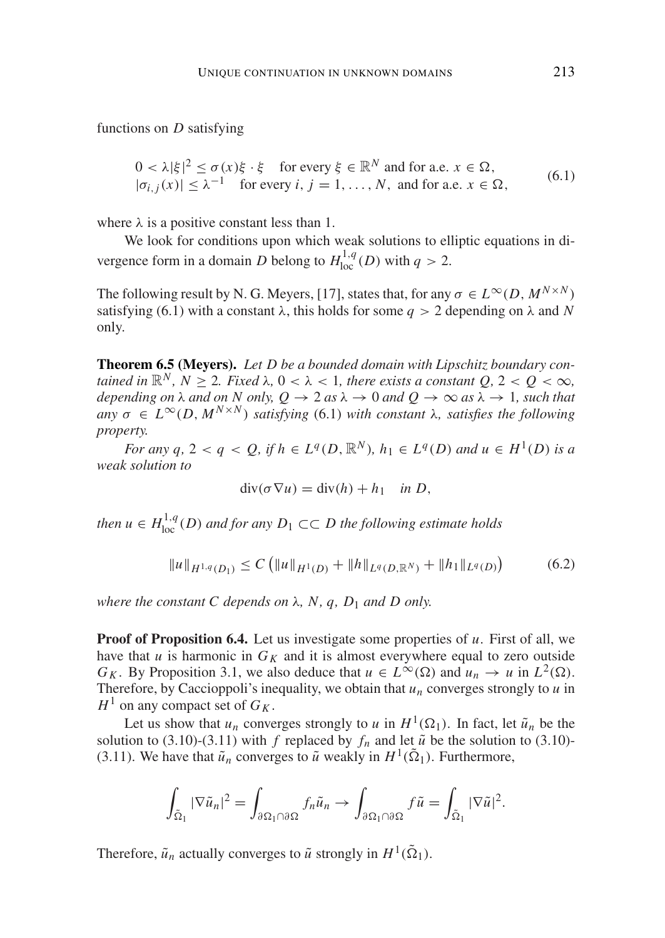functions on *D* satisfying

$$
0 < \lambda |\xi|^2 \le \sigma(x)\xi \cdot \xi \quad \text{for every } \xi \in \mathbb{R}^N \text{ and for a.e. } x \in \Omega,
$$
\n
$$
|\sigma_{i,j}(x)| \le \lambda^{-1} \quad \text{for every } i, j = 1, \dots, N, \text{ and for a.e. } x \in \Omega,
$$
\n
$$
(6.1)
$$

where  $\lambda$  is a positive constant less than 1.

We look for conditions upon which weak solutions to elliptic equations in divergence form in a domain *D* belong to  $H^{1,q}_{loc}(D)$  with  $q > 2$ .

The following result by N. G. Meyers, [17], states that, for any  $\sigma \in L^{\infty}(D, M^{N \times N})$ satisfying (6.1) with a constant  $\lambda$ , this holds for some  $q > 2$  depending on  $\lambda$  and N only.

**Theorem 6.5 (Meyers).** *Let D be a bounded domain with Lipschitz boundary contained in*  $\mathbb{R}^N$ ,  $N > 2$ . *Fixed*  $\lambda$ ,  $0 < \lambda < 1$ , *there exists a constant*  $Q$ ,  $2 < Q < \infty$ , *depending on*  $\lambda$  *and on*  $N$  *only,*  $Q \to 2$  *as*  $\lambda \to 0$  *and*  $Q \to \infty$  *as*  $\lambda \to 1$ *, such that*  $an\sigma \in L^{\infty}(D, M^{N \times N})$  *satisfying* (6.1) *with constant*  $\lambda$ *, satisfies the following property.*

*For any q,*  $2 < q < Q$ , *if*  $h \in L^q(D, \mathbb{R}^N)$ ,  $h_1 \in L^q(D)$  *and*  $u \in H^1(D)$  *is a weak solution to*

$$
\operatorname{div}(\sigma \nabla u) = \operatorname{div}(h) + h_1 \quad \text{in } D,
$$

*then*  $u \in H^{1,q}_{loc}(D)$  *and for any*  $D_1 \subset\subset D$  *the following estimate holds* 

$$
||u||_{H^{1,q}(D_1)} \le C \left( ||u||_{H^1(D)} + ||h||_{L^q(D,\mathbb{R}^N)} + ||h_1||_{L^q(D)} \right) \tag{6.2}
$$

*where the constant C depends on* λ*, N, q, D*<sup>1</sup> *and D only.*

**Proof of Proposition 6.4.** Let us investigate some properties of *u*. First of all, we have that *u* is harmonic in  $G_K$  and it is almost everywhere equal to zero outside *G<sub>K</sub>*. By Proposition 3.1, we also deduce that  $u \in L^{\infty}(\Omega)$  and  $u_n \to u$  in  $L^2(\Omega)$ . Therefore, by Caccioppoli's inequality, we obtain that  $u_n$  converges strongly to  $u$  in  $H^1$  on any compact set of  $G_K$ .

Let us show that  $u_n$  converges strongly to *u* in  $H^1(\Omega_1)$ . In fact, let  $\tilde{u}_n$  be the solution to (3.10)-(3.11) with *f* replaced by  $f_n$  and let  $\tilde{u}$  be the solution to (3.10)-(3.11). We have that  $\tilde{u}_n$  converges to  $\tilde{u}$  weakly in  $H^1(\tilde{\Omega}_1)$ . Furthermore,

$$
\int_{\tilde{\Omega}_1} |\nabla \tilde{u}_n|^2 = \int_{\partial \Omega_1 \cap \partial \Omega} f_n \tilde{u}_n \to \int_{\partial \Omega_1 \cap \partial \Omega} f \tilde{u} = \int_{\tilde{\Omega}_1} |\nabla \tilde{u}|^2.
$$

Therefore,  $\tilde{u}_n$  actually converges to  $\tilde{u}$  strongly in  $H^1(\tilde{\Omega}_1)$ .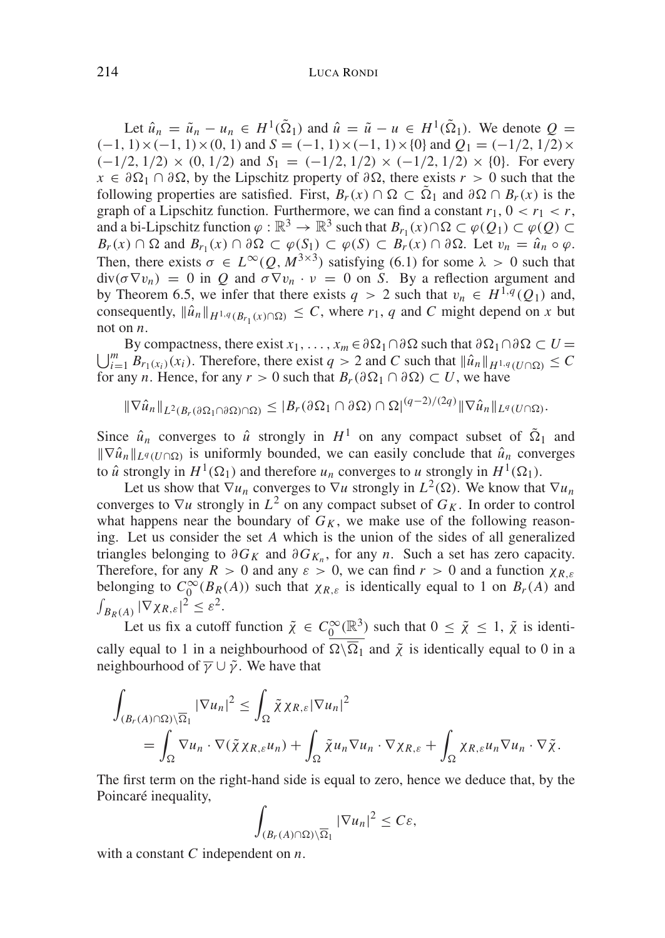Let  $\hat{u}_n = \tilde{u}_n - u_n \in H^1(\tilde{\Omega}_1)$  and  $\hat{u} = \tilde{u} - u \in H^1(\tilde{\Omega}_1)$ . We denote  $Q =$  $(-1, 1) \times (-1, 1) \times (0, 1)$  and *S* = (−1, 1)×(−1, 1)×{0} and *Q*<sub>1</sub> = (−1/2, 1/2)×  $(-1/2, 1/2) \times (0, 1/2)$  and  $S_1 = (-1/2, 1/2) \times (-1/2, 1/2) \times \{0\}$ . For every  $x \in \partial \Omega_1 \cap \partial \Omega$ , by the Lipschitz property of  $\partial \Omega$ , there exists  $r > 0$  such that the following properties are satisfied. First,  $B_r(x) \cap \Omega \subset \overline{\Omega}_1$  and  $\partial \Omega \cap B_r(x)$  is the graph of a Lipschitz function. Furthermore, we can find a constant  $r_1$ ,  $0 < r_1 < r$ , and a bi-Lipschitz function  $\varphi : \mathbb{R}^3 \to \mathbb{R}^3$  such that  $B_{r_1}(x) \cap \Omega \subset \varphi(Q) \subset \varphi(Q)$  $B_r(x) \cap \Omega$  and  $B_{r_1}(x) \cap \partial \Omega \subset \varphi(S_1) \subset \varphi(S) \subset B_r(x) \cap \partial \Omega$ . Let  $v_n = \hat{u}_n \circ \varphi$ . Then, there exists  $\sigma \in L^{\infty}(Q, M^{3 \times 3})$  satisfying (6.1) for some  $\lambda > 0$  such that  $div(\sigma \nabla v_n) = 0$  in *Q* and  $\sigma \nabla v_n \cdot v = 0$  on *S*. By a reflection argument and by Theorem 6.5, we infer that there exists  $q > 2$  such that  $v_n \in H^{1,q}(Q_1)$  and, consequently,  $\|\hat{u}_n\|_{H^{1,q}(B_r(x) \cap \Omega)} \leq C$ , where  $r_1, q$  and C might depend on *x* but

not on *n*.<br>By compactness, there exist  $x_1, ..., x_m \in \partial \Omega_1 \cap \partial \Omega$  such that  $\partial \Omega_1 \cap \partial \Omega \subset U$  = By compactness, there exist  $x_1, ..., x_m \in \partial \Omega_1 \cap \partial \Omega$  such that  $\partial \Omega_1 \cap \partial \Omega \subset U = \bigcup_{i=1}^m B_{r_1(x_i)}(x_i)$ . Therefore, there exist  $q > 2$  and C such that  $\|\hat{u}_n\|_{H^{1,q}(U \cap \Omega)} \leq C$ for any *n*. Hence, for any  $r > 0$  such that  $B_r(\partial \Omega_1 \cap \partial \Omega) \subset U$ , we have

$$
\|\nabla \hat{u}_n\|_{L^2(B_r(\partial\Omega_1\cap\partial\Omega)\cap\Omega)} \leq |B_r(\partial\Omega_1\cap\partial\Omega)\cap\Omega|^{(q-2)/(2q)}\|\nabla \hat{u}_n\|_{L^q(U\cap\Omega)}.
$$

Since  $\hat{u}_n$  converges to  $\hat{u}$  strongly in  $H^1$  on any compact subset of  $\tilde{\Omega}_1$  and  $\|\nabla \hat{u}_n\|_{L^q(U \cap \Omega)}$  is uniformly bounded, we can easily conclude that  $\hat{u}_n$  converges to  $\hat{u}$  strongly in  $H^1(\Omega_1)$  and therefore  $u_n$  converges to *u* strongly in  $H^1(\Omega_1)$ .

Let us show that  $\nabla u_n$  converges to  $\nabla u$  strongly in  $L^2(\Omega)$ . We know that  $\nabla u_n$ converges to  $\nabla u$  strongly in  $L^2$  on any compact subset of  $G_K$ . In order to control what happens near the boundary of  $G_K$ , we make use of the following reasoning. Let us consider the set *A* which is the union of the sides of all generalized triangles belonging to  $\partial G_K$  and  $\partial G_{K_n}$ , for any *n*. Such a set has zero capacity. Therefore, for any  $R > 0$  and any  $\varepsilon > 0$ , we can find  $r > 0$  and a function  $\chi_{R,\varepsilon}$ belonging to  $C_0^{\infty}(B_R(A))$  such that  $\chi_{R,\varepsilon}$  is identically equal to 1 on  $B_r(A)$  and  $\int_{B_R(A)} |\nabla \chi_{R,\varepsilon}|^2 \leq \varepsilon^2.$ 

Let us fix a cutoff function  $\tilde{\chi} \in C_0^{\infty}(\mathbb{R}^3)$  such that  $0 \le \tilde{\chi} \le 1$ ,  $\tilde{\chi}$  is identically equal to 1 in a neighbourhood of  $\Omega \setminus \overline{\Omega}_1$  and  $\tilde{\chi}$  is identically equal to 0 in a neighbourhood of  $\overline{v} \cup \tilde{v}$ . We have that

$$
\int_{(B_r(A)\cap\Omega)\setminus\overline{\Omega}_1} |\nabla u_n|^2 \leq \int_{\Omega} \tilde{\chi} \chi_{R,\varepsilon} |\nabla u_n|^2
$$
  
= 
$$
\int_{\Omega} \nabla u_n \cdot \nabla(\tilde{\chi} \chi_{R,\varepsilon} u_n) + \int_{\Omega} \tilde{\chi} u_n \nabla u_n \cdot \nabla \chi_{R,\varepsilon} + \int_{\Omega} \chi_{R,\varepsilon} u_n \nabla u_n \cdot \nabla \tilde{\chi}.
$$

The first term on the right-hand side is equal to zero, hence we deduce that, by the Poincaré inequality,

$$
\int_{(B_r(A)\cap\Omega)\setminus\overline{\Omega}_1}|\nabla u_n|^2\leq C\varepsilon,
$$

with a constant *C* independent on *n*.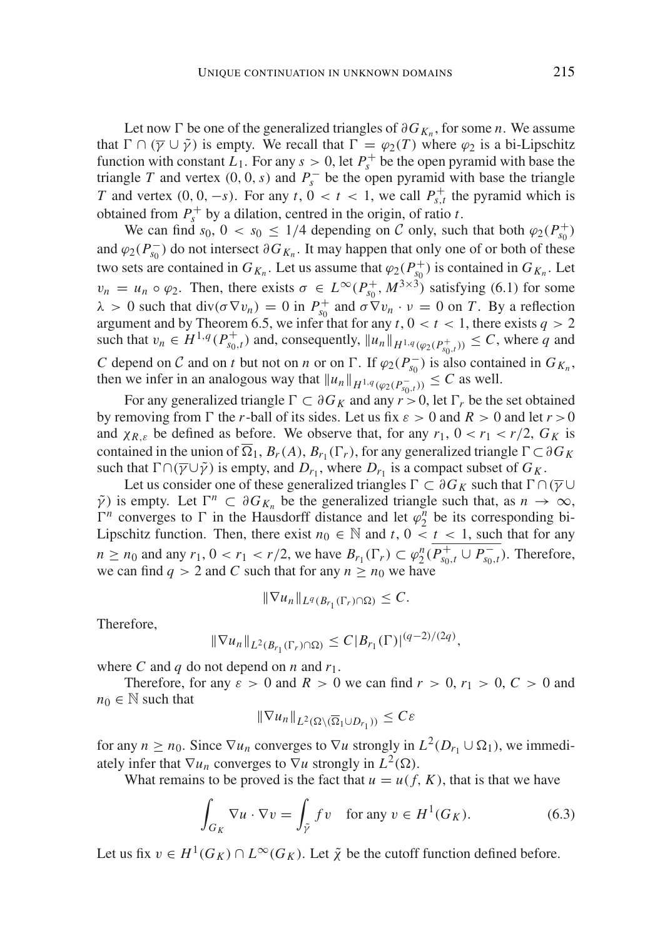Let now  $\Gamma$  be one of the generalized triangles of  $\partial G_{K_n}$ , for some *n*. We assume that  $\Gamma \cap (\overline{\gamma} \cup \tilde{\gamma})$  is empty. We recall that  $\Gamma = \varphi_2(T)$  where  $\varphi_2$  is a bi-Lipschitz function with constant  $L_1$ . For any  $s > 0$ , let  $P_s^+$  be the open pyramid with base the triangle *T* and vertex  $(0, 0, s)$  and  $P_s^-$  be the open pyramid with base the triangle *T* and vertex  $(0, 0, -s)$ . For any  $t$ ,  $0 < t < 1$ , we call  $P_{s,t}^+$  the pyramid which is obtained from  $P_s^+$  by a dilation, centred in the origin, of ratio *t*.

We can find  $s_0$ ,  $0 < s_0 \leq 1/4$  depending on C only, such that both  $\varphi_2(P_{s_0}^+)$ and  $\varphi_2(P_{s_0}^-)$  do not intersect  $\partial G_{K_n}$ . It may happen that only one of or both of these two sets are contained in  $G_{K_n}$ . Let us assume that  $\varphi_2(P_{s_0}^+)$  is contained in  $G_{K_n}$ . Let  $v_n = u_n \circ \varphi_2$ . Then, there exists  $\sigma \in L^{\infty}(P_{s_0}^+, M^{3 \times 3})$  satisfying (6.1) for some  $\lambda > 0$  such that div( $\sigma \nabla v_n$ ) = 0 in  $P_{s_0}^+$  and  $\sigma \nabla v_n \cdot v = 0$  on *T*. By a reflection argument and by Theorem 6.5, we infer that for any  $t$ ,  $0 < t < 1$ , there exists  $q > 2$ such that  $v_n \in H^{1,q}(P_{s_0,t}^+)$  and, consequently,  $||u_n||_{H^{1,q}(\varphi_2(P_{s_0,t}^+))} \leq C$ , where *q* and *C* depend on *C* and on *t* but not on *n* or on  $\Gamma$ . If  $\varphi_2(P_{s_0}^-)$  is also contained in  $G_{K_n}$ , then we infer in an analogous way that  $||u_n||_{H^{1,q}(\varphi_2(P_{s_0,t}^-))} \leq C$  as well.

For any generalized triangle  $\Gamma$  ⊂ ∂*G<sub>K</sub>* and any  $r > 0$ , let  $\Gamma$ <sub>r</sub> be the set obtained by removing from  $\Gamma$  the *r*-ball of its sides. Let us fix  $\varepsilon > 0$  and  $R > 0$  and let  $r > 0$ and  $\chi_{R,\varepsilon}$  be defined as before. We observe that, for any  $r_1$ ,  $0 < r_1 < r/2$ ,  $G_K$  is contained in the union of  $\overline{\Omega}_1$ ,  $B_r(A)$ ,  $B_{r_1}(\Gamma_r)$ , for any generalized triangle  $\Gamma \subset \partial G_K$ such that  $\Gamma \cap (\overline{\gamma} \cup \tilde{\gamma})$  is empty, and  $D_{r_1}$ , where  $D_{r_1}$  is a compact subset of  $G_K$ .

Let us consider one of these generalized triangles  $\Gamma \subset \partial G_K$  such that  $\Gamma \cap (\overline{\gamma} \cup$  $\tilde{\gamma}$ ) is empty. Let  $\Gamma^n \subset \partial G_{K_n}$  be the generalized triangle such that, as  $n \to \infty$ ,  $\Gamma^n$  converges to  $\Gamma$  in the Hausdorff distance and let  $\varphi_2^n$  be its corresponding bi-Lipschitz function. Then, there exist  $n_0 \in \mathbb{N}$  and  $t, 0 \le t \le 1$ , such that for any *n* ≥ *n*<sub>0</sub> and any *r*<sub>1</sub>, 0 < *r*<sub>1</sub> < *r*/2, we have  $B_{r_1}(\Gamma_r) \subset \varphi_2^n(P_{s_0,t}^+ \cup P_{s_0,t}^-)$ . Therefore, we can find  $q > 2$  and C such that for any  $n \geq n_0$  we have

$$
\|\nabla u_n\|_{L^q(B_{r_1}(\Gamma_r)\cap\Omega)}\leq C.
$$

Therefore,

$$
\|\nabla u_n\|_{L^2(B_{r_1}(\Gamma_r)\cap\Omega)} \le C|B_{r_1}(\Gamma)|^{(q-2)/(2q)}
$$

where C and q do not depend on  $n$  and  $r_1$ .

Therefore, for any  $\varepsilon > 0$  and  $R > 0$  we can find  $r > 0$ ,  $r_1 > 0$ ,  $C > 0$  and  $n_0 \in \mathbb{N}$  such that

$$
\|\nabla u_n\|_{L^2(\Omega\setminus(\overline{\Omega}_1\cup D_{r_1}))}\leq C\varepsilon
$$

for any  $n \ge n_0$ . Since  $\nabla u_n$  converges to  $\nabla u$  strongly in  $L^2(D_{r_1} \cup \Omega_1)$ , we immediately infer that  $\nabla u_n$  converges to  $\nabla u$  strongly in  $L^2(\Omega)$ .

What remains to be proved is the fact that  $u = u(f, K)$ , that is that we have

$$
\int_{G_K} \nabla u \cdot \nabla v = \int_{\tilde{\gamma}} f v \quad \text{for any } v \in H^1(G_K). \tag{6.3}
$$

,

Let us fix  $v \in H^1(G_K) \cap L^{\infty}(G_K)$ . Let  $\tilde{\chi}$  be the cutoff function defined before.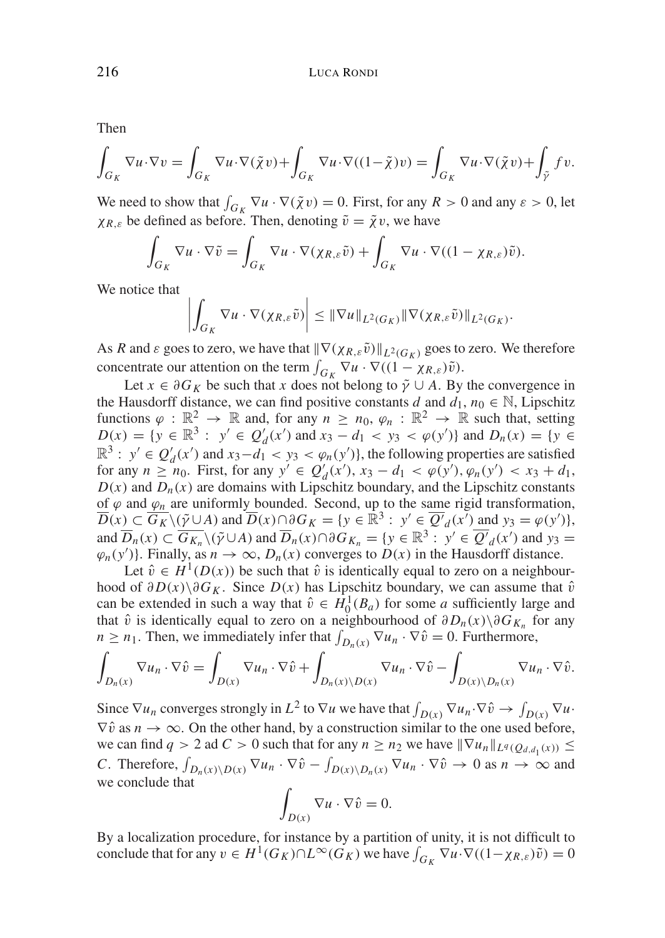Then

$$
\int_{G_K} \nabla u \cdot \nabla v = \int_{G_K} \nabla u \cdot \nabla(\tilde{\chi}v) + \int_{G_K} \nabla u \cdot \nabla((1-\tilde{\chi})v) = \int_{G_K} \nabla u \cdot \nabla(\tilde{\chi}v) + \int_{\tilde{\gamma}} fv.
$$

We need to show that  $\int_{G_K} \nabla u \cdot \nabla (\tilde{\chi} v) = 0$ . First, for any  $R > 0$  and any  $\varepsilon > 0$ , let  $\chi_{R,\varepsilon}$  be defined as before. Then, denoting  $\tilde{v} = \tilde{\chi}v$ , we have

$$
\int_{G_K} \nabla u \cdot \nabla \tilde{v} = \int_{G_K} \nabla u \cdot \nabla (\chi_{R,\varepsilon} \tilde{v}) + \int_{G_K} \nabla u \cdot \nabla ((1 - \chi_{R,\varepsilon}) \tilde{v}).
$$

We notice that

$$
\left| \int_{G_K} \nabla u \cdot \nabla (\chi_{R,\varepsilon} \tilde{v}) \right| \leq \|\nabla u\|_{L^2(G_K)} \|\nabla (\chi_{R,\varepsilon} \tilde{v})\|_{L^2(G_K)}.
$$

As *R* and  $\varepsilon$  goes to zero, we have that  $\|\nabla(\chi_{R,\varepsilon}\tilde{v})\|_{L^2(G_K)}$  goes to zero. We therefore concentrate our attention on the term  $\int_{G_K} \nabla u \cdot \nabla ((1 - \chi_{R,\varepsilon}) \tilde{v})$ .

Let  $x \in \partial G_K$  be such that *x* does not belong to  $\tilde{\gamma} \cup A$ . By the convergence in the Hausdorff distance, we can find positive constants *d* and  $d_1$ ,  $n_0 \in \mathbb{N}$ , Lipschitz functions  $\varphi : \mathbb{R}^2 \to \mathbb{R}$  and, for any  $n \ge n_0$ ,  $\varphi_n : \mathbb{R}^2 \to \mathbb{R}$  such that, setting  $D(x) = \{ y \in \mathbb{R}^3 : y' \in Q'_d(x') \text{ and } x_3 - d_1 < y_3 < \varphi(y') \} \text{ and } D_n(x) = \{ y \in Q'_d(x') \text{ and } y_3 - d_1 < y_3 \}$  $\mathbb{R}^3$ :  $y' \in Q'_d(x')$  and  $x_3 - d_1 < y_3 < \varphi_n(y')$ , the following properties are satisfied for any  $n \geq n_0$ . First, for any  $y' \in Q'_d(x')$ ,  $x_3 - d_1 < \varphi(y')$ ,  $\varphi_n(y') < x_3 + d_1$ ,  $D(x)$  and  $D_n(x)$  are domains with Lipschitz boundary, and the Lipschitz constants of  $\varphi$  and  $\varphi$ <sub>n</sub> are uniformly bounded. Second, up to the same rigid transformation,  $\overline{D}(x) \subset \overline{G_K} \setminus (\tilde{\gamma} \cup A)$  and  $\overline{D}(x) \cap \partial G_K = \{y \in \mathbb{R}^3 : y' \in \overline{Q'}_d(x) \text{ and } y_3 = \varphi(y')\},\$ and  $\overline{D}_n(x) \subset \overline{G_{K_n}} \setminus (\tilde{\gamma} \cup A)$  and  $\overline{D}_n(x) \cap \partial G_{K_n} = \{y \in \mathbb{R}^3 : y' \in \overline{Q'}_d(x') \text{ and } y_3 =$  $\varphi_n(y')$ . Finally, as  $n \to \infty$ ,  $D_n(x)$  converges to  $D(x)$  in the Hausdorff distance.

Let  $\hat{v} \in H^1(D(x))$  be such that  $\hat{v}$  is identically equal to zero on a neighbourhood of  $\partial D(x) \setminus \partial G_K$ . Since  $D(x)$  has Lipschitz boundary, we can assume that  $\hat{v}$ can be extended in such a way that  $\hat{v} \in H_0^1(B_a)$  for some *a* sufficiently large and that  $\hat{v}$  is identically equal to zero on a neighbourhood of  $\partial D_n(x)\setminus \partial G_{K_n}$  for any  $n \geq n_1$ . Then, we immediately infer that  $\int_{D_n(x)} \nabla u_n \cdot \nabla \hat{v} = 0$ . Furthermore,

$$
\int_{D_n(x)} \nabla u_n \cdot \nabla \hat{v} = \int_{D(x)} \nabla u_n \cdot \nabla \hat{v} + \int_{D_n(x) \setminus D(x)} \nabla u_n \cdot \nabla \hat{v} - \int_{D(x) \setminus D_n(x)} \nabla u_n \cdot \nabla \hat{v}.
$$

Since  $\nabla u_n$  converges strongly in  $L^2$  to  $\nabla u$  we have that  $\int_{D(x)} \nabla u_n \cdot \nabla \hat{v} \to \int_{D(x)} \nabla u \cdot$  $\nabla \hat{v}$  as  $n \to \infty$ . On the other hand, by a construction similar to the one used before, we can find  $q > 2$  ad  $C > 0$  such that for any  $n \ge n_2$  we have  $\|\nabla u_n\|_{L^q(Q_{d,d_1}(x))} \le$ *C*. Therefore,  $\int_{D_n(x)\setminus D(x)} \nabla u_n \cdot \nabla \hat{v} - \int_{D(x)\setminus D_n(x)} \nabla u_n \cdot \nabla \hat{v} \to 0$  as  $n \to \infty$  and we conclude that

$$
\int_{D(x)} \nabla u \cdot \nabla \hat{v} = 0.
$$

By a localization procedure, for instance by a partition of unity, it is not difficult to conclude that for any  $v \in H^1(G_K) \cap L^\infty(G_K)$  we have  $\int_{G_K} \nabla u \cdot \nabla ((1-\chi_{R,\varepsilon})\tilde{v}) = 0$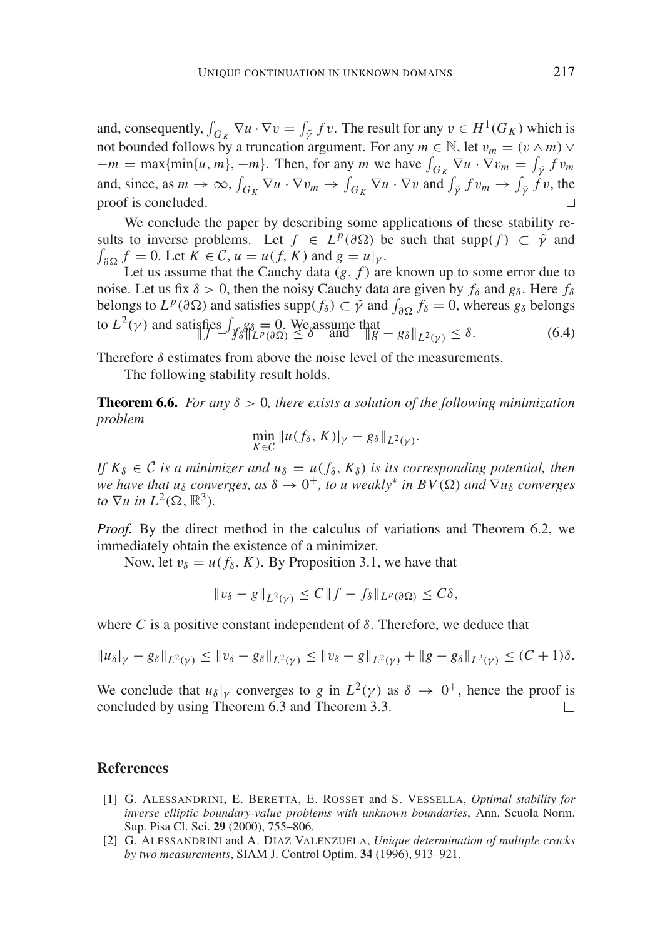and, consequently,  $\int_{G_K} \nabla u \cdot \nabla v = \int_{\tilde{\gamma}} f v$ . The result for any  $v \in H^1(G_K)$  which is not bounded follows by a truncation argument. For any  $m \in \mathbb{N}$ , let  $v_m = (v \wedge m) \vee$  $-m = \max\{\min\{u, m\}, -m\}$ . Then, for any *m* we have  $\int_{G_K} \nabla u \cdot \nabla v_m = \int_{\tilde{\gamma}} f v_m$ and, since, as  $m \to \infty$ ,  $\int_{G_K} \nabla u \cdot \nabla v_m \to \int_{G_K} \nabla u \cdot \nabla v$  and  $\int_{\tilde{\gamma}} f v_m \to \int_{\tilde{\gamma}} f v$ , the proof is concluded.

We conclude the paper by describing some applications of these stability results to inverse problems. Let  $f \in L^p(\partial \Omega)$  be such that supp $(f) \subset \tilde{\gamma}$  and  $\int_{\partial\Omega} f = 0$ . Let  $K \in \mathcal{C}$ ,  $u = u(f, K)$  and  $g = u|_{\gamma}$ .

Let us assume that the Cauchy data  $(g, f)$  are known up to some error due to noise. Let us fix  $\delta > 0$ , then the noisy Cauchy data are given by  $f_{\delta}$  and  $g_{\delta}$ . Here  $f_{\delta}$ belongs to  $L^p(\partial \Omega)$  and satisfies supp $(f_\delta) \subset \tilde{\gamma}$  and  $\int_{\partial \Omega} f_\delta = 0$ , whereas  $g_\delta$  belongs to  $L^2(\gamma)$  and satisfies  $\int_{\mathcal{F}} g_\delta = 0$ . We assume that  $\|g - g_\delta\|_{L^2(\gamma)} \le \delta$ . (6.4)

Therefore  $\delta$  estimates from above the noise level of the measurements.

The following stability result holds.

**Theorem 6.6.** For any  $\delta > 0$ , there exists a solution of the following minimization *problem*

$$
\min_{K\in\mathcal{C}}\|u(f_\delta,K)|_\gamma-g_\delta\|_{L^2(\gamma)}.
$$

*If*  $K_{\delta} \in \mathcal{C}$  *is a minimizer and*  $u_{\delta} = u(f_{\delta}, K_{\delta})$  *is its corresponding potential, then we have that u<sub>δ</sub> converges, as*  $\delta \rightarrow 0^+$ *, to u weakly<sup>\*</sup> in BV(* $\Omega$ *) and*  $\nabla u_\delta$  *converges to*  $\nabla u$  *in*  $L^2(\Omega, \mathbb{R}^3)$ *.* 

*Proof.* By the direct method in the calculus of variations and Theorem 6.2, we immediately obtain the existence of a minimizer.

Now, let  $v_{\delta} = u(f_{\delta}, K)$ . By Proposition 3.1, we have that

$$
||v_{\delta} - g||_{L^{2}(y)} \leq C||f - f_{\delta}||_{L^{p}(\partial \Omega)} \leq C\delta,
$$

where *C* is a positive constant independent of  $\delta$ . Therefore, we deduce that

$$
||u_{\delta}|_{\gamma}-g_{\delta}||_{L^{2}(\gamma)} \leq ||v_{\delta}-g_{\delta}||_{L^{2}(\gamma)} \leq ||v_{\delta}-g||_{L^{2}(\gamma)} + ||g-g_{\delta}||_{L^{2}(\gamma)} \leq (C+1)\delta.
$$

We conclude that  $u_{\delta}|_{\gamma}$  converges to *g* in  $L^2(\gamma)$  as  $\delta \to 0^+$ , hence the proof is concluded by using Theorem 6.3 and Theorem 3.3.  $\Box$ 

#### **References**

- [1] G. ALESSANDRINI, E. BERETTA, E. ROSSET and S. VESSELLA, *Optimal stability for inverse elliptic boundary-value problems with unknown boundaries*, Ann. Scuola Norm. Sup. Pisa Cl. Sci. **29** (2000), 755–806.
- [2] G. ALESSANDRINI and A. DIAZ VALENZUELA, *Unique determination of multiple cracks by two measurements*, SIAM J. Control Optim. **34** (1996), 913–921.